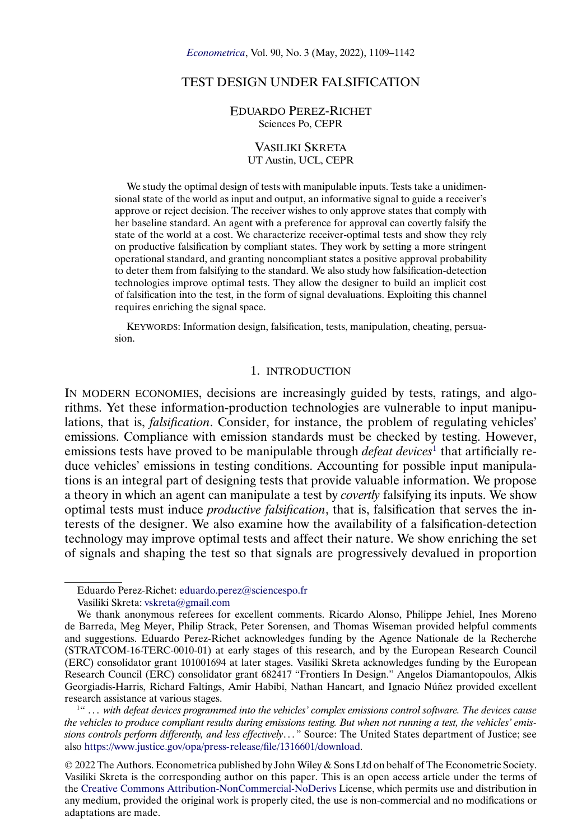## TEST DESIGN UNDER FALSIFICATION

#### EDUARDO PEREZ-RICHET Sciences Po, CEPR

#### VASILIKI SKRETA UT Austin, UCL, CEPR

We study the optimal design of tests with manipulable inputs. Tests take a unidimensional state of the world as input and output, an informative signal to guide a receiver's approve or reject decision. The receiver wishes to only approve states that comply with her baseline standard. An agent with a preference for approval can covertly falsify the state of the world at a cost. We characterize receiver-optimal tests and show they rely on productive falsification by compliant states. They work by setting a more stringent operational standard, and granting noncompliant states a positive approval probability to deter them from falsifying to the standard. We also study how falsification-detection technologies improve optimal tests. They allow the designer to build an implicit cost of falsification into the test, in the form of signal devaluations. Exploiting this channel requires enriching the signal space.

KEYWORDS: Information design, falsification, tests, manipulation, cheating, persuasion.

### 1. INTRODUCTION

IN MODERN ECONOMIES, decisions are increasingly guided by tests, ratings, and algorithms. Yet these information-production technologies are vulnerable to input manipulations, that is, *falsification*. Consider, for instance, the problem of regulating vehicles' emissions. Compliance with emission standards must be checked by testing. However, emissions tests have proved to be manipulable through *defeat devices*<sup>1</sup> that artificially reduce vehicles' emissions in testing conditions. Accounting for possible input manipulations is an integral part of designing tests that provide valuable information. We propose a theory in which an agent can manipulate a test by *covertly* falsifying its inputs. We show optimal tests must induce *productive falsification*, that is, falsification that serves the interests of the designer. We also examine how the availability of a falsification-detection technology may improve optimal tests and affect their nature. We show enriching the set of signals and shaping the test so that signals are progressively devalued in proportion

Eduardo Perez-Richet: [eduardo.perez@sciencespo.fr](mailto:eduardo.perez@sciencespo.fr) Vasiliki Skreta: [vskreta@gmail.com](mailto:vskreta@gmail.com)

We thank anonymous referees for excellent comments. Ricardo Alonso, Philippe Jehiel, Ines Moreno de Barreda, Meg Meyer, Philip Strack, Peter Sorensen, and Thomas Wiseman provided helpful comments and suggestions. Eduardo Perez-Richet acknowledges funding by the Agence Nationale de la Recherche (STRATCOM-16-TERC-0010-01) at early stages of this research, and by the European Research Council (ERC) consolidator grant 101001694 at later stages. Vasiliki Skreta acknowledges funding by the European Research Council (ERC) consolidator grant 682417 "Frontiers In Design." Angelos Diamantopoulos, Alkis Georgiadis-Harris, Richard Faltings, Amir Habibi, Nathan Hancart, and Ignacio Núñez provided excellent research assistance at various stages.

<sup>&</sup>lt;sup>1"</sup> ... with defeat devices programmed into the vehicles' complex emissions control software. The devices cause *the vehicles to produce compliant results during emissions testing. But when not running a test, the vehicles' emis*sions controls perform differently, and less effectively..." Source: The United States department of Justice; see also [https://www.justice.gov/opa/press-release/file/1316601/download.](https://www.justice.gov/opa/press-release/file/1316601/download)

<sup>© 2022</sup> The Authors. Econometrica published by John Wiley & Sons Ltd on behalf of The Econometric Society. Vasiliki Skreta is the corresponding author on this paper. This is an open access article under the terms of the [Creative Commons Attribution-NonCommercial-NoDerivs](https://creativecommons.org/licenses/by-nc-nd/4.0/) License, which permits use and distribution in any medium, provided the original work is properly cited, the use is non-commercial and no modifications or adaptations are made.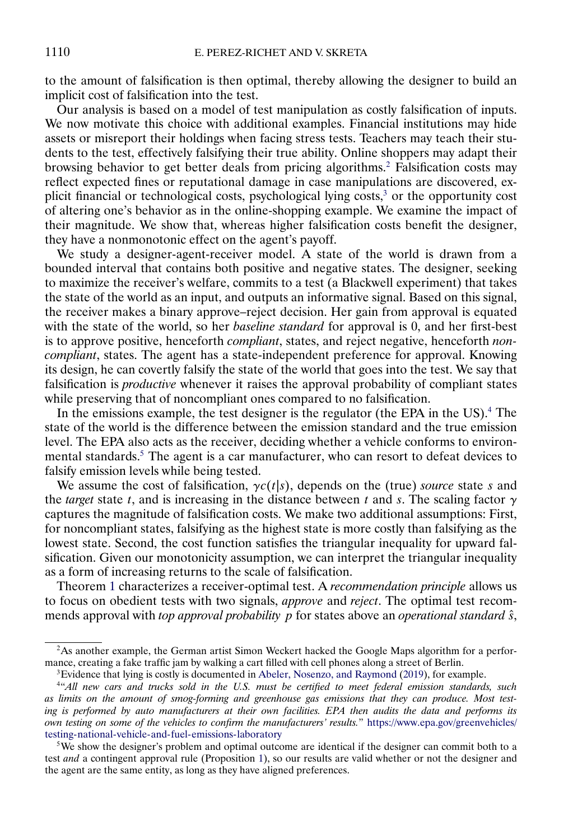<span id="page-1-0"></span>to the amount of falsification is then optimal, thereby allowing the designer to build an implicit cost of falsification into the test.

Our analysis is based on a model of test manipulation as costly falsification of inputs. We now motivate this choice with additional examples. Financial institutions may hide assets or misreport their holdings when facing stress tests. Teachers may teach their students to the test, effectively falsifying their true ability. Online shoppers may adapt their browsing behavior to get better deals from pricing algorithms.<sup>2</sup> Falsification costs may reflect expected fines or reputational damage in case manipulations are discovered, explicit financial or technological costs, psychological lying costs,<sup>3</sup> or the opportunity cost of altering one's behavior as in the online-shopping example. We examine the impact of their magnitude. We show that, whereas higher falsification costs benefit the designer, they have a nonmonotonic effect on the agent's payoff.

We study a designer-agent-receiver model. A state of the world is drawn from a bounded interval that contains both positive and negative states. The designer, seeking to maximize the receiver's welfare, commits to a test (a Blackwell experiment) that takes the state of the world as an input, and outputs an informative signal. Based on this signal, the receiver makes a binary approve–reject decision. Her gain from approval is equated with the state of the world, so her *baseline standard* for approval is 0, and her first-best is to approve positive, henceforth *compliant*, states, and reject negative, henceforth *noncompliant*, states. The agent has a state-independent preference for approval. Knowing its design, he can covertly falsify the state of the world that goes into the test. We say that falsification is *productive* whenever it raises the approval probability of compliant states while preserving that of noncompliant ones compared to no falsification.

In the emissions example, the test designer is the regulator (the EPA in the US).<sup>4</sup> The state of the world is the difference between the emission standard and the true emission level. The EPA also acts as the receiver, deciding whether a vehicle conforms to environmental standards.5 The agent is a car manufacturer, who can resort to defeat devices to falsify emission levels while being tested.

We assume the cost of falsification,  $\gamma c(t|s)$ , depends on the (true) *source* state s and the *target* state t, and is increasing in the distance between t and s. The scaling factor  $\gamma$ captures the magnitude of falsification costs. We make two additional assumptions: First, for noncompliant states, falsifying as the highest state is more costly than falsifying as the lowest state. Second, the cost function satisfies the triangular inequality for upward falsification. Given our monotonicity assumption, we can interpret the triangular inequality as a form of increasing returns to the scale of falsification.

Theorem [1](#page-10-0) characterizes a receiver-optimal test. A *recommendation principle* allows us to focus on obedient tests with two signals, *approve* and *reject*. The optimal test recommends approval with *top approval probability* p for states above an *operational standard*  $\hat{s}$ ,

<sup>&</sup>lt;sup>2</sup>As another example, the German artist Simon Weckert hacked the Google Maps algorithm for a performance, creating a fake traffic jam by walking a cart filled with cell phones along a street of Berlin.

<sup>&</sup>lt;sup>3</sup>Evidence that lying is costly is documented in [Abeler, Nosenzo, and Raymond](#page-32-0) [\(2019\)](#page-32-0), for example.

<sup>4&</sup>quot;*All new cars and trucks sold in the U.S. must be certified to meet federal emission standards, such as limits on the amount of smog-forming and greenhouse gas emissions that they can produce. Most testing is performed by auto manufacturers at their own facilities. EPA then audits the data and performs its own testing on some of the vehicles to confirm the manufacturers' results.*" [https://www.epa.gov/greenvehicles/](https://www.epa.gov/greenvehicles/testing-national-vehicle-and-fuel-emissions-laboratory) [testing-national-vehicle-and-fuel-emissions-laboratory](https://www.epa.gov/greenvehicles/testing-national-vehicle-and-fuel-emissions-laboratory)

<sup>&</sup>lt;sup>5</sup>We show the designer's problem and optimal outcome are identical if the designer can commit both to a test *and* a contingent approval rule (Proposition [1\)](#page-9-0), so our results are valid whether or not the designer and the agent are the same entity, as long as they have aligned preferences.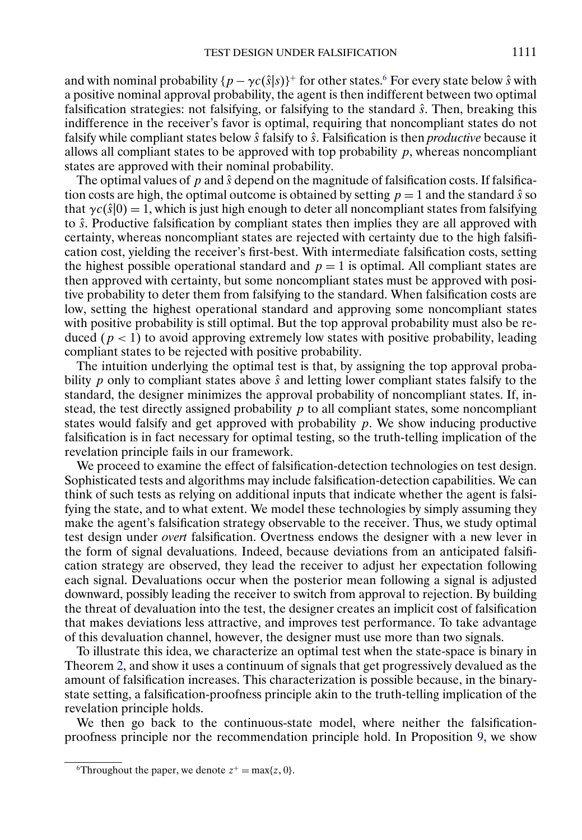and with nominal probability  $\{p - \gamma c(\hat{s}|s)\}^+$  for other states.<sup>6</sup> For every state below  $\hat{s}$  with a positive nominal approval probability, the agent is then indifferent between two optimal falsification strategies: not falsifying, or falsifying to the standard  $\hat{s}$ . Then, breaking this indifference in the receiver's favor is optimal, requiring that noncompliant states do not falsify while compliant states below  $\hat{s}$  falsify to  $\hat{s}$ . Falsification is then *productive* because it allows all compliant states to be approved with top probability  $p$ , whereas noncompliant states are approved with their nominal probability.

The optimal values of p and  $\hat{s}$  depend on the magnitude of falsification costs. If falsification costs are high, the optimal outcome is obtained by setting  $p = 1$  and the standard  $\hat{s}$  so that  $\gamma c(\hat{s}|0) = 1$ , which is just high enough to deter all noncompliant states from falsifying to  $\hat{s}$ . Productive falsification by compliant states then implies they are all approved with certainty, whereas noncompliant states are rejected with certainty due to the high falsification cost, yielding the receiver's first-best. With intermediate falsification costs, setting the highest possible operational standard and  $p = 1$  is optimal. All compliant states are then approved with certainty, but some noncompliant states must be approved with positive probability to deter them from falsifying to the standard. When falsification costs are low, setting the highest operational standard and approving some noncompliant states with positive probability is still optimal. But the top approval probability must also be reduced ( $p < 1$ ) to avoid approving extremely low states with positive probability, leading compliant states to be rejected with positive probability.

The intuition underlying the optimal test is that, by assigning the top approval probability p only to compliant states above  $\hat{s}$  and letting lower compliant states falsify to the standard, the designer minimizes the approval probability of noncompliant states. If, instead, the test directly assigned probability  $p$  to all compliant states, some noncompliant states would falsify and get approved with probability  $p$ . We show inducing productive falsification is in fact necessary for optimal testing, so the truth-telling implication of the revelation principle fails in our framework.

We proceed to examine the effect of falsification-detection technologies on test design. Sophisticated tests and algorithms may include falsification-detection capabilities. We can think of such tests as relying on additional inputs that indicate whether the agent is falsifying the state, and to what extent. We model these technologies by simply assuming they make the agent's falsification strategy observable to the receiver. Thus, we study optimal test design under *overt* falsification. Overtness endows the designer with a new lever in the form of signal devaluations. Indeed, because deviations from an anticipated falsification strategy are observed, they lead the receiver to adjust her expectation following each signal. Devaluations occur when the posterior mean following a signal is adjusted downward, possibly leading the receiver to switch from approval to rejection. By building the threat of devaluation into the test, the designer creates an implicit cost of falsification that makes deviations less attractive, and improves test performance. To take advantage of this devaluation channel, however, the designer must use more than two signals.

To illustrate this idea, we characterize an optimal test when the state-space is binary in Theorem [2,](#page-21-0) and show it uses a continuum of signals that get progressively devalued as the amount of falsification increases. This characterization is possible because, in the binarystate setting, a falsification-proofness principle akin to the truth-telling implication of the revelation principle holds.

We then go back to the continuous-state model, where neither the falsificationproofness principle nor the recommendation principle hold. In Proposition [9,](#page-25-0) we show

<sup>&</sup>lt;sup>6</sup>Throughout the paper, we denote  $z^+ = \max\{z, 0\}$ .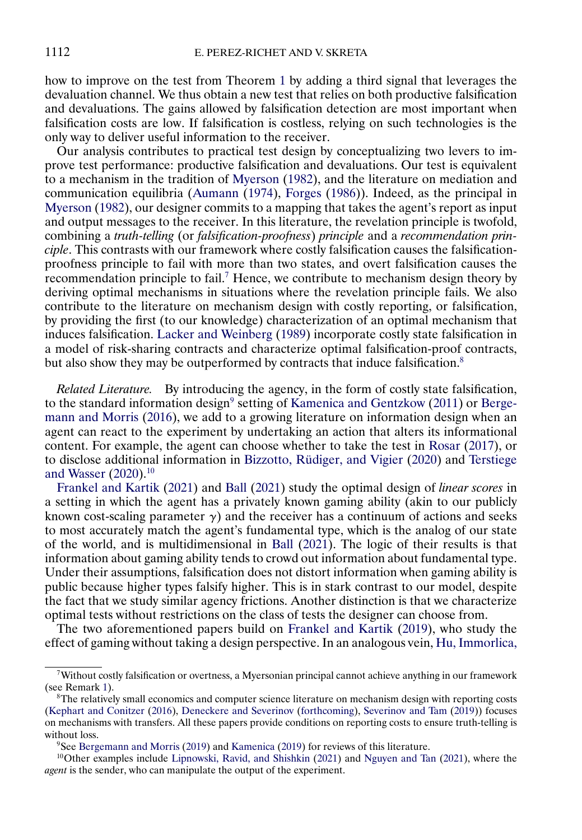<span id="page-3-0"></span>how to improve on the test from Theorem [1](#page-10-0) by adding a third signal that leverages the devaluation channel. We thus obtain a new test that relies on both productive falsification and devaluations. The gains allowed by falsification detection are most important when falsification costs are low. If falsification is costless, relying on such technologies is the only way to deliver useful information to the receiver.

Our analysis contributes to practical test design by conceptualizing two levers to improve test performance: productive falsification and devaluations. Our test is equivalent to a mechanism in the tradition of [Myerson](#page-33-0) [\(1982\)](#page-33-0), and the literature on mediation and communication equilibria [\(Aumann](#page-32-0) [\(1974\)](#page-32-0), [Forges](#page-32-0) [\(1986\)](#page-32-0)). Indeed, as the principal in [Myerson](#page-33-0) [\(1982\)](#page-33-0), our designer commits to a mapping that takes the agent's report as input and output messages to the receiver. In this literature, the revelation principle is twofold, combining a *truth-telling* (or *falsification-proofness*) *principle* and a *recommendation principle*. This contrasts with our framework where costly falsification causes the falsificationproofness principle to fail with more than two states, and overt falsification causes the recommendation principle to fail.7 Hence, we contribute to mechanism design theory by deriving optimal mechanisms in situations where the revelation principle fails. We also contribute to the literature on mechanism design with costly reporting, or falsification, by providing the first (to our knowledge) characterization of an optimal mechanism that induces falsification. [Lacker and Weinberg](#page-32-0) [\(1989\)](#page-32-0) incorporate costly state falsification in a model of risk-sharing contracts and characterize optimal falsification-proof contracts, but also show they may be outperformed by contracts that induce falsification.<sup>8</sup>

*Related Literature.* By introducing the agency, in the form of costly state falsification, to the standard information design<sup>9</sup> setting of [Kamenica and Gentzkow](#page-32-0) [\(2011\)](#page-32-0) or [Berge](#page-32-0)[mann and Morris](#page-32-0) [\(2016\)](#page-32-0), we add to a growing literature on information design when an agent can react to the experiment by undertaking an action that alters its informational content. For example, the agent can choose whether to take the test in [Rosar](#page-33-0) [\(2017\)](#page-33-0), or to disclose additional information in [Bizzotto, Rüdiger, and Vigier](#page-32-0) [\(2020\)](#page-32-0) and [Terstiege](#page-33-0) [and Wasser](#page-33-0) [\(2020\)](#page-33-0).10

Frankel and Kartik [\(2021\)](#page-32-0) and [Ball](#page-32-0) [\(2021\)](#page-32-0) study the optimal design of *linear scores* in a setting in which the agent has a privately known gaming ability (akin to our publicly known cost-scaling parameter  $\gamma$ ) and the receiver has a continuum of actions and seeks to most accurately match the agent's fundamental type, which is the analog of our state of the world, and is multidimensional in [Ball](#page-32-0) [\(2021\)](#page-32-0). The logic of their results is that information about gaming ability tends to crowd out information about fundamental type. Under their assumptions, falsification does not distort information when gaming ability is public because higher types falsify higher. This is in stark contrast to our model, despite the fact that we study similar agency frictions. Another distinction is that we characterize optimal tests without restrictions on the class of tests the designer can choose from.

The two aforementioned papers build on [Frankel and Kartik](#page-32-0) [\(2019\)](#page-32-0), who study the effect of gaming without taking a design perspective. In an analogous vein, [Hu, Immorlica,](#page-32-0)

<sup>7</sup>Without costly falsification or overtness, a Myersonian principal cannot achieve anything in our framework (see Remark [1\)](#page-8-0).

 ${}^{8}$ The relatively small economics and computer science literature on mechanism design with reporting costs [\(Kephart and Conitzer](#page-32-0) [\(2016\)](#page-32-0), [Deneckere and Severinov](#page-32-0) [\(forthcoming\)](#page-32-0), [Severinov and Tam](#page-33-0) [\(2019\)](#page-33-0)) focuses on mechanisms with transfers. All these papers provide conditions on reporting costs to ensure truth-telling is without loss.

<sup>&</sup>lt;sup>9</sup>See [Bergemann and Morris](#page-32-0) [\(2019\)](#page-32-0) and [Kamenica](#page-32-0) (2019) for reviews of this literature.

<sup>10</sup>Other examples include [Lipnowski, Ravid, and Shishkin](#page-32-0) [\(2021\)](#page-32-0) and [Nguyen and Tan](#page-33-0) [\(2021\)](#page-33-0), where the *agent* is the sender, who can manipulate the output of the experiment.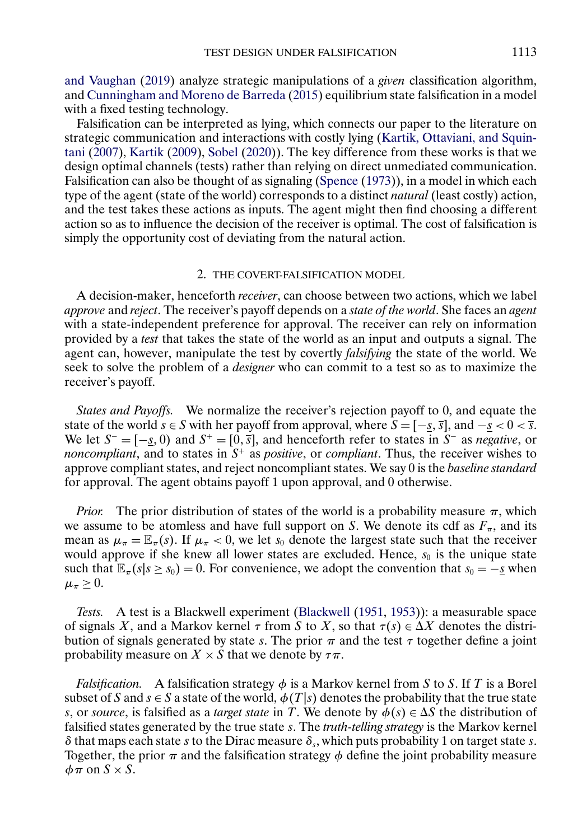<span id="page-4-0"></span>[and Vaughan](#page-32-0) [\(2019\)](#page-32-0) analyze strategic manipulations of a *given* classification algorithm, and [Cunningham and Moreno de Barreda](#page-32-0) [\(2015\)](#page-32-0) equilibrium state falsification in a model with a fixed testing technology.

Falsification can be interpreted as lying, which connects our paper to the literature on strategic communication and interactions with costly lying [\(Kartik, Ottaviani, and Squin](#page-32-0)[tani](#page-32-0) [\(2007\)](#page-32-0), [Kartik](#page-32-0) [\(2009\)](#page-32-0), [Sobel](#page-33-0) [\(2020\)](#page-33-0)). The key difference from these works is that we design optimal channels (tests) rather than relying on direct unmediated communication. Falsification can also be thought of as signaling [\(Spence](#page-33-0) [\(1973\)](#page-33-0)), in a model in which each type of the agent (state of the world) corresponds to a distinct *natural* (least costly) action, and the test takes these actions as inputs. The agent might then find choosing a different action so as to influence the decision of the receiver is optimal. The cost of falsification is simply the opportunity cost of deviating from the natural action.

#### 2. THE COVERT-FALSIFICATION MODEL

A decision-maker, henceforth *receiver*, can choose between two actions, which we label *approve* and *reject*. The receiver's payoff depends on a *state of the world*. She faces an *agent* with a state-independent preference for approval. The receiver can rely on information provided by a *test* that takes the state of the world as an input and outputs a signal. The agent can, however, manipulate the test by covertly *falsifying* the state of the world. We seek to solve the problem of a *designer* who can commit to a test so as to maximize the receiver's payoff.

*States and Payoffs.* We normalize the receiver's rejection payoff to 0, and equate the state of the world  $\bar{s} \in S$  with her payoff from approval, where  $\bar{S} = [-\underline{s}, \overline{s}]$ , and  $-\underline{s} < 0 < \overline{s}$ . We let  $S^- = [-s, 0)$  and  $S^+ = [0, \overline{s}]$ , and henceforth refer to states in  $S^-$  as *negative*, or *noncompliant*, and to states in  $S^+$  as *positive*, or *compliant*. Thus, the receiver wishes to approve compliant states, and reject noncompliant states. We say 0 is the *baseline standard* for approval. The agent obtains payoff 1 upon approval, and 0 otherwise.

*Prior.* The prior distribution of states of the world is a probability measure  $\pi$ , which we assume to be atomless and have full support on S. We denote its cdf as  $F_\pi$ , and its mean as  $\mu_{\pi} = \mathbb{E}_{\pi}(s)$ . If  $\mu_{\pi} < 0$ , we let  $s_0$  denote the largest state such that the receiver would approve if she knew all lower states are excluded. Hence,  $s_0$  is the unique state such that  $\mathbb{E}_{\pi}(s|s \geq s_0) = 0$ . For convenience, we adopt the convention that  $s_0 = -s$  when  $\mu_{\pi} \geq 0.$ 

*Tests.* A test is a Blackwell experiment [\(Blackwell](#page-32-0) [\(1951,](#page-32-0) [1953\)](#page-32-0)): a measurable space of signals X, and a Markov kernel  $\tau$  from S to X, so that  $\tau(s) \in \Delta X$  denotes the distribution of signals generated by state s. The prior  $\pi$  and the test  $\tau$  together define a joint probability measure on  $X \times S$  that we denote by  $\tau \pi$ .

*Falsification.* A falsification strategy  $\phi$  is a Markov kernel from S to S. If T is a Borel subset of S and  $s \in S$  a state of the world,  $\phi(T|s)$  denotes the probability that the true state s, or *source*, is falsified as a *target state* in T. We denote by  $\phi(s) \in \Delta S$  the distribution of falsified states generated by the true state s. The *truth-telling strategy* is the Markov kernel δ that maps each state s to the Dirac measure  $\delta_s$ , which puts probability 1 on target state s. Together, the prior  $\pi$  and the falsification strategy  $\phi$  define the joint probability measure  $\phi \overline{\pi}$  on  $S \times S$ .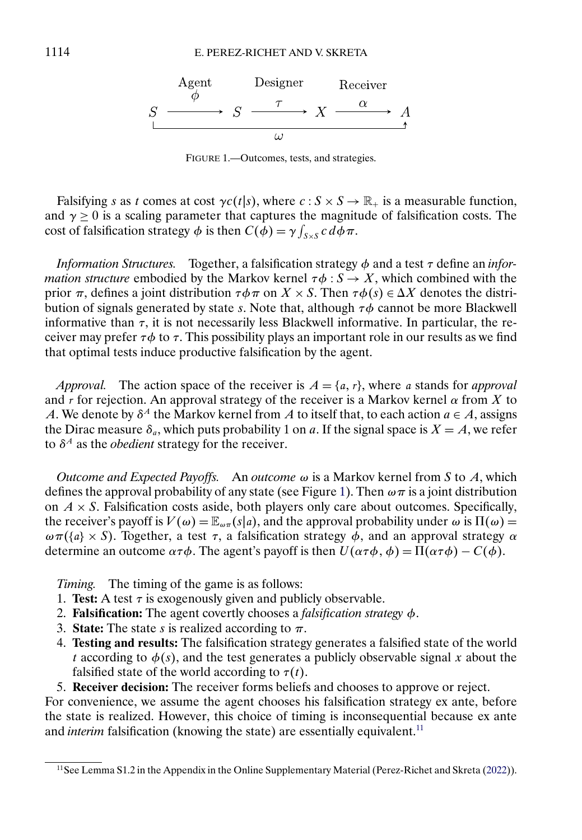<span id="page-5-0"></span>

FIGURE 1.—Outcomes, tests, and strategies.

Falsifying s as t comes at cost  $\gamma c(t|s)$ , where  $c : S \times S \to \mathbb{R}_+$  is a measurable function, and  $\gamma \geq 0$  is a scaling parameter that captures the magnitude of falsification costs. The cost of falsification strategy  $\phi$  is then  $C(\phi) = \gamma \int_{S \times S} c \, d\phi \, \pi$ .

*Information Structures.* Together, a falsification strategy φ and a test τ define an *information structure* embodied by the Markov kernel  $\tau \phi : S \to X$ , which combined with the prior  $\pi$ , defines a joint distribution  $\tau \phi \pi$  on  $X \times S$ . Then  $\tau \phi(s) \in \Delta X$  denotes the distribution of signals generated by state s. Note that, although  $\tau \phi$  cannot be more Blackwell informative than  $\tau$ , it is not necessarily less Blackwell informative. In particular, the receiver may prefer  $\tau \phi$  to  $\tau$ . This possibility plays an important role in our results as we find that optimal tests induce productive falsification by the agent.

*Approval.* The action space of the receiver is  $A = \{a, r\}$ , where *a* stands for *approval* and  $\overline{r}$  for rejection. An approval strategy of the receiver is a Markov kernel  $\alpha$  from X to A. We denote by  $\delta^A$  the Markov kernel from A to itself that, to each action  $a \in A$ , assigns the Dirac measure  $\delta_a$ , which puts probability 1 on a. If the signal space is  $X = A$ , we refer to  $\delta^A$  as the *obedient* strategy for the receiver.

*Outcome and Expected Payoffs.* An *outcome*  $\omega$  is a Markov kernel from S to A, which defines the approval probability of any state (see Figure 1). Then  $\omega \pi$  is a joint distribution on  $A \times S$ . Falsification costs aside, both players only care about outcomes. Specifically, the receiver's payoff is  $V(\omega) = \mathbb{E}_{\omega_{\pi}}(s|a)$ , and the approval probability under  $\omega$  is  $\Pi(\omega) =$  $\omega \pi (\lbrace a \rbrace \times S)$ . Together, a test  $\tau$ , a falsification strategy  $\phi$ , and an approval strategy  $\alpha$ determine an outcome  $\alpha \tau \phi$ . The agent's payoff is then  $U(\alpha \tau \phi, \phi) = \Pi(\alpha \tau \phi) - C(\phi)$ .

*Timing.* The timing of the game is as follows:

- 1. **Test:** A test  $\tau$  is exogenously given and publicly observable.
- 2. **Falsification:** The agent covertly chooses a *falsification strategy* φ.
- 3. **State:** The state s is realized according to  $\pi$ .
- 4. **Testing and results:** The falsification strategy generates a falsified state of the world t according to  $\phi(s)$ , and the test generates a publicly observable signal x about the falsified state of the world according to  $\tau(t)$ .
- 5. **Receiver decision:** The receiver forms beliefs and chooses to approve or reject.

For convenience, we assume the agent chooses his falsification strategy ex ante, before the state is realized. However, this choice of timing is inconsequential because ex ante and *interim* falsification (knowing the state) are essentially equivalent.<sup>11</sup>

<sup>&</sup>lt;sup>11</sup>See Lemma S1.2 in the Appendix in the Online Supplementary Material (Perez-Richet and Skreta [\(2022\)](#page-33-0)).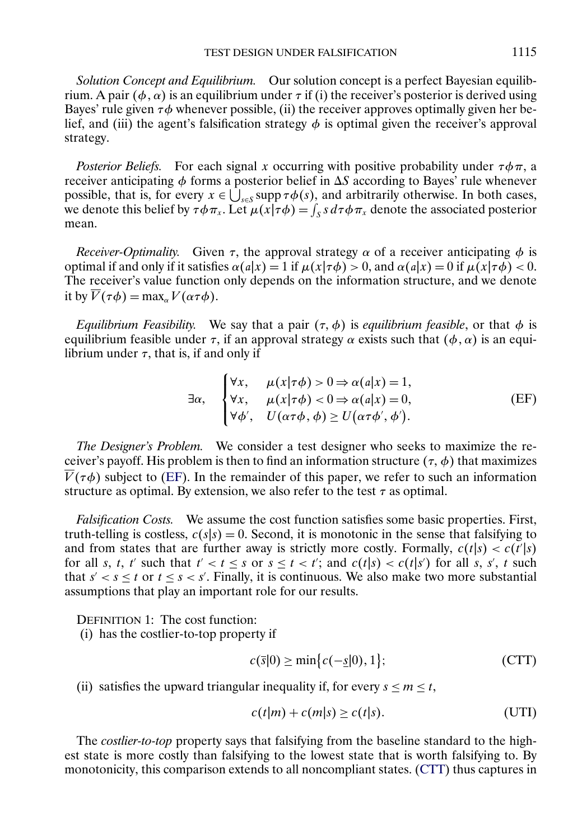<span id="page-6-0"></span>*Solution Concept and Equilibrium.* Our solution concept is a perfect Bayesian equilibrium. A pair ( $\phi$ ,  $\alpha$ ) is an equilibrium under τ if (i) the receiver's posterior is derived using Bayes' rule given  $\tau \phi$  whenever possible, (ii) the receiver approves optimally given her belief, and (iii) the agent's falsification strategy  $\phi$  is optimal given the receiver's approval strategy.

*Posterior Beliefs.* For each signal x occurring with positive probability under  $\tau \phi \pi$ , a receiver anticipating  $\phi$  forms a posterior belief in  $\Delta S$  according to Bayes' rule whenever possible, that is, for every  $x \in \bigcup_{s \in S} \text{supp } \tau \phi(s)$ , and arbitrarily otherwise. In both cases, we denote this belief by  $\tau \phi \pi_x$ . Let  $\mu(x|\tau \phi) = \int_S s d\tau \phi \pi_x$  denote the associated posterior mean.

*Receiver-Optimality.* Given  $\tau$ , the approval strategy  $\alpha$  of a receiver anticipating  $\phi$  is optimal if and only if it satisfies  $\alpha(a|x) = 1$  if  $\mu(x|\tau\phi) > 0$ , and  $\alpha(a|x) = 0$  if  $\mu(x|\tau\phi) < 0$ . The receiver's value function only depends on the information structure, and we denote it by  $\overline{V}(\tau \phi) = \max_{\alpha} V(\alpha \tau \phi)$ .

*Equilibrium Feasibility.* We say that a pair  $(\tau, \phi)$  is *equilibrium feasible*, or that  $\phi$  is equilibrium feasible under  $\tau$ , if an approval strategy  $\alpha$  exists such that  $(\phi, \alpha)$  is an equilibrium under  $\tau$ , that is, if and only if

$$
\exists \alpha, \quad \begin{cases} \forall x, & \mu(x|\tau\phi) > 0 \Rightarrow \alpha(a|x) = 1, \\ \forall x, & \mu(x|\tau\phi) < 0 \Rightarrow \alpha(a|x) = 0, \\ \forall \phi', & U(\alpha\tau\phi, \phi) \ge U(\alpha\tau\phi', \phi'). \end{cases} \tag{EF}
$$

*The Designer's Problem.* We consider a test designer who seeks to maximize the receiver's payoff. His problem is then to find an information structure ( $\tau$ ,  $\phi$ ) that maximizes  $\overline{V}(\tau\phi)$  subject to (EF). In the remainder of this paper, we refer to such an information structure as optimal. By extension, we also refer to the test  $\tau$  as optimal.

*Falsification Costs.* We assume the cost function satisfies some basic properties. First, truth-telling is costless,  $c(s|s) = 0$ . Second, it is monotonic in the sense that falsifying to and from states that are further away is strictly more costly. Formally,  $c(t|s) < c(t'|s)$ for all s, t, t' such that  $t' < t \leq s$  or  $s \leq t < t'$ ; and  $c(t|s) < c(t|s')$  for all s, s', t such that  $s' < s \le t$  or  $t \le s < s'$ . Finally, it is continuous. We also make two more substantial assumptions that play an important role for our results.

DEFINITION 1: The cost function:

(i) has the costlier-to-top property if

$$
c(\overline{s}|0) \ge \min\{c(-\underline{s}|0), 1\};\tag{CTT}
$$

(ii) satisfies the upward triangular inequality if, for every  $s \le m \le t$ ,

$$
c(t|m) + c(m|s) \ge c(t|s).
$$
 (UTI)

The *costlier-to-top* property says that falsifying from the baseline standard to the highest state is more costly than falsifying to the lowest state that is worth falsifying to. By monotonicity, this comparison extends to all noncompliant states. (CTT) thus captures in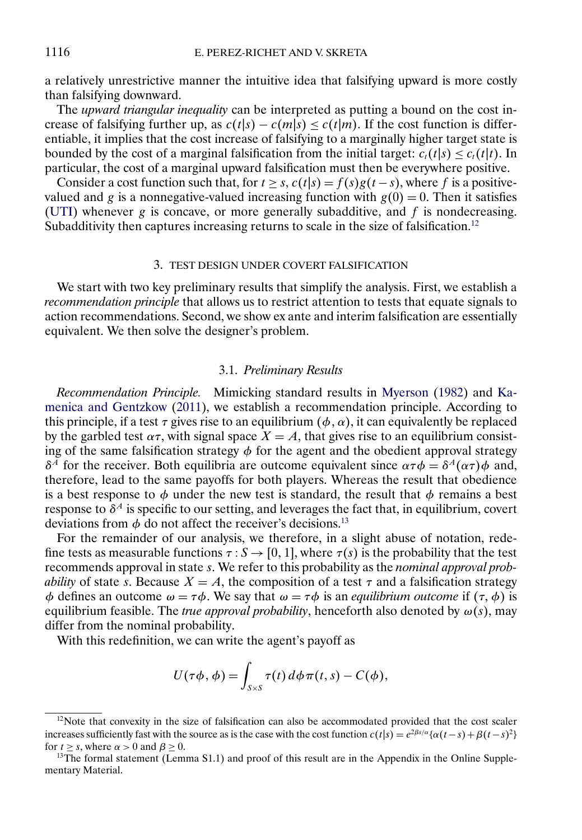<span id="page-7-0"></span>a relatively unrestrictive manner the intuitive idea that falsifying upward is more costly than falsifying downward.

The *upward triangular inequality* can be interpreted as putting a bound on the cost increase of falsifying further up, as  $c(t|s) - c(m|s) \leq c(t|m)$ . If the cost function is differentiable, it implies that the cost increase of falsifying to a marginally higher target state is bounded by the cost of a marginal falsification from the initial target:  $c_t(t|s) \leq c_t(t|t)$ . In particular, the cost of a marginal upward falsification must then be everywhere positive.

Consider a cost function such that, for  $t \geq s$ ,  $c(t|s) = f(s)g(t-s)$ , where f is a positivevalued and g is a nonnegative-valued increasing function with  $g(0) = 0$ . Then it satisfies [\(UTI\)](#page-6-0) whenever  $g$  is concave, or more generally subadditive, and  $f$  is nondecreasing. Subadditivity then captures increasing returns to scale in the size of falsification.<sup>12</sup>

### 3. TEST DESIGN UNDER COVERT FALSIFICATION

We start with two key preliminary results that simplify the analysis. First, we establish a *recommendation principle* that allows us to restrict attention to tests that equate signals to action recommendations. Second, we show ex ante and interim falsification are essentially equivalent. We then solve the designer's problem.

#### 3.1. *Preliminary Results*

*Recommendation Principle.* Mimicking standard results in [Myerson](#page-33-0) [\(1982\)](#page-33-0) and [Ka](#page-32-0)[menica and Gentzkow](#page-32-0) [\(2011\)](#page-32-0), we establish a recommendation principle. According to this principle, if a test  $\tau$  gives rise to an equilibrium ( $\phi$ ,  $\alpha$ ), it can equivalently be replaced by the garbled test  $\alpha\tau$ , with signal space  $X = A$ , that gives rise to an equilibrium consisting of the same falsification strategy  $\phi$  for the agent and the obedient approval strategy  $\delta^{\tilde{A}}$  for the receiver. Both equilibria are outcome equivalent since  $\alpha \tau \phi = \delta^{\tilde{A}}(\alpha \tau) \phi$  and, therefore, lead to the same payoffs for both players. Whereas the result that obedience is a best response to  $\phi$  under the new test is standard, the result that  $\phi$  remains a best response to  $\delta^A$  is specific to our setting, and leverages the fact that, in equilibrium, covert deviations from  $\phi$  do not affect the receiver's decisions.<sup>13</sup>

For the remainder of our analysis, we therefore, in a slight abuse of notation, redefine tests as measurable functions  $\tau : S \to [0, 1]$ , where  $\tau(s)$  is the probability that the test recommends approval in state s. We refer to this probability as the *nominal approval probability* of state s. Because  $X = A$ , the composition of a test  $\tau$  and a falsification strategy φ defines an outcome  $\omega = \tau \phi$ . We say that  $\omega = \tau \phi$  is an *equilibrium outcome* if  $(\tau, \phi)$  is equilibrium feasible. The *true approval probability*, henceforth also denoted by  $\omega(s)$ , may differ from the nominal probability.

With this redefinition, we can write the agent's payoff as

$$
U(\tau\phi,\phi)=\int_{S\times S}\tau(t)\,d\phi\,\pi(t,s)-C(\phi),
$$

 $12$ Note that convexity in the size of falsification can also be accommodated provided that the cost scaler increases sufficiently fast with the source as is the case with the cost function  $c(t|s) = e^{2\beta s/\alpha} {\alpha(t-s) + \beta(t-s)^2}$ for  $t \ge s$ , where  $\alpha > 0$  and  $\beta \ge 0$ .<br><sup>13</sup>The formal statement (Lemma S1.1) and proof of this result are in the Appendix in the Online Supple-

mentary Material.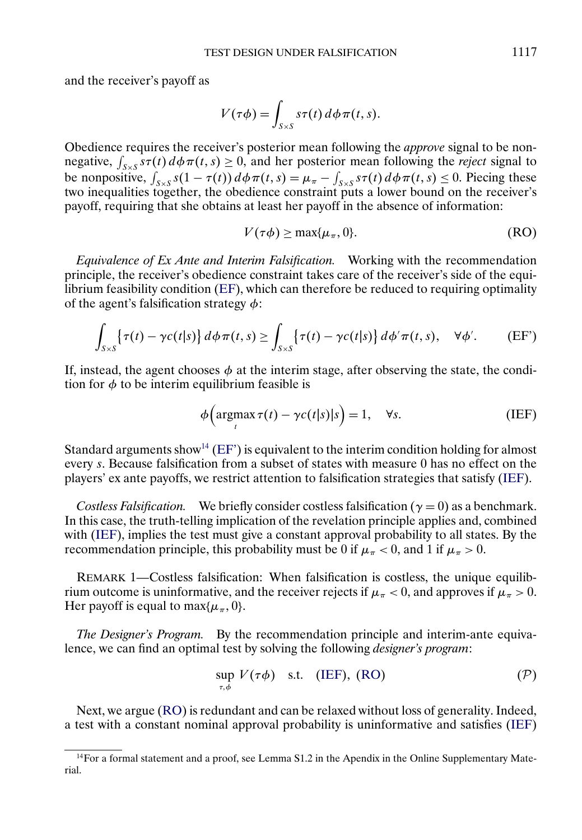<span id="page-8-0"></span>and the receiver's payoff as

$$
V(\tau\phi) = \int_{S\times S} s\tau(t) \, d\phi \, \pi(t, s).
$$

Obedience requires the receiver's posterior mean following the *approve* signal to be nonnegative,  $\int_{S \times S} s\tau(t) d\phi \pi(t,s) \geq 0$ , and her posterior mean following the *reject* signal to be nonpositive,  $\int_{S\times S} s(1-\tau(t)) d\phi \pi(t,s) = \mu_{\pi} - \int_{S\times S} s\tau(t) d\phi \pi(t,s) \le 0$ . Piecing these two inequalities together, the obedience constraint puts a lower bound on the receiver's payoff, requiring that she obtains at least her payoff in the absence of information:

$$
V(\tau\phi) \ge \max\{\mu_{\pi}, 0\}.
$$
 (RO)

*Equivalence of Ex Ante and Interim Falsification.* Working with the recommendation principle, the receiver's obedience constraint takes care of the receiver's side of the equilibrium feasibility condition [\(EF\)](#page-6-0), which can therefore be reduced to requiring optimality of the agent's falsification strategy  $\phi$ :

$$
\int_{S\times S} \left\{ \tau(t) - \gamma c(t|s) \right\} d\phi \pi(t,s) \ge \int_{S\times S} \left\{ \tau(t) - \gamma c(t|s) \right\} d\phi' \pi(t,s), \quad \forall \phi'. \tag{EF'}
$$

If, instead, the agent chooses  $\phi$  at the interim stage, after observing the state, the condition for  $\phi$  to be interim equilibrium feasible is

$$
\phi\Big(\underset{t}{\operatorname{argmax}}\,\tau(t)-\gamma c(t|s)|s\Big)=1,\quad\forall s.\tag{IEF}
$$

Standard arguments show<sup>14</sup> (EF') is equivalent to the interim condition holding for almost every s. Because falsification from a subset of states with measure 0 has no effect on the players' ex ante payoffs, we restrict attention to falsification strategies that satisfy (IEF).

*Costless Falsification.* We briefly consider costless falsification ( $\gamma = 0$ ) as a benchmark. In this case, the truth-telling implication of the revelation principle applies and, combined with (IEF), implies the test must give a constant approval probability to all states. By the recommendation principle, this probability must be 0 if  $\mu_{\pi}$  < 0, and 1 if  $\mu_{\pi}$  > 0.

REMARK 1—Costless falsification: When falsification is costless, the unique equilibrium outcome is uninformative, and the receiver rejects if  $\mu_{\pi} < 0$ , and approves if  $\mu_{\pi} > 0$ . Her payoff is equal to max $\{\mu_{\pi}, 0\}$ .

*The Designer's Program.* By the recommendation principle and interim-ante equivalence, we can find an optimal test by solving the following *designer's program*:

$$
\sup_{\tau,\phi} V(\tau\phi) \quad \text{s.t.} \quad \text{(IEF), (RO)} \tag{P}
$$

Next, we argue (RO) is redundant and can be relaxed without loss of generality. Indeed, a test with a constant nominal approval probability is uninformative and satisfies (IEF)

<sup>14</sup>For a formal statement and a proof, see Lemma S1.2 in the Apendix in the Online Supplementary Material.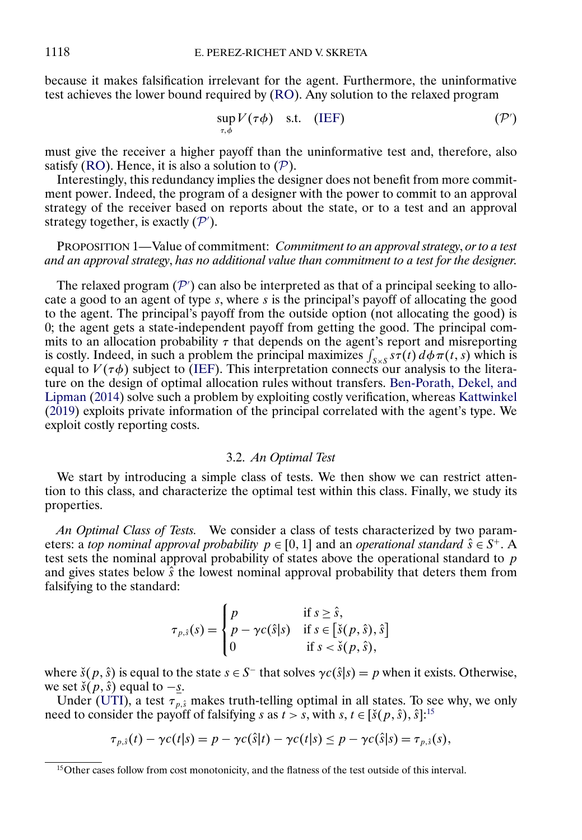because it makes falsification irrelevant for the agent. Furthermore, the uninformative test achieves the lower bound required by [\(RO\)](#page-8-0). Any solution to the relaxed program

$$
\sup_{\tau,\phi} V(\tau\phi) \quad \text{s.t.} \quad (\text{IEF}) \tag{P'}
$$

must give the receiver a higher payoff than the uninformative test and, therefore, also satisfy [\(RO\)](#page-8-0). Hence, it is also a solution to  $(\mathcal{P})$  $(\mathcal{P})$  $(\mathcal{P})$ .

Interestingly, this redundancy implies the designer does not benefit from more commitment power. Indeed, the program of a designer with the power to commit to an approval strategy of the receiver based on reports about the state, or to a test and an approval strategy together, is exactly  $(\mathcal{P}')$ .

# PROPOSITION 1—Value of commitment: *Commitment to an approval strategy*, *or to a test and an approval strategy*, *has no additional value than commitment to a test for the designer*.

The relaxed program  $(\mathcal{P}')$  can also be interpreted as that of a principal seeking to allocate a good to an agent of type s, where s is the principal's payoff of allocating the good to the agent. The principal's payoff from the outside option (not allocating the good) is 0; the agent gets a state-independent payoff from getting the good. The principal commits to an allocation probability  $\tau$  that depends on the agent's report and misreporting is costly. Indeed, in such a problem the principal maximizes  $\int_{S\times S} s\tau(t) d\phi \pi(t, s)$  which is equal to  $V(\tau\phi)$  subject to [\(IEF\)](#page-8-0). This interpretation connects our analysis to the literature on the design of optimal allocation rules without transfers. [Ben-Porath, Dekel, and](#page-32-0) [Lipman](#page-32-0) [\(2014\)](#page-32-0) solve such a problem by exploiting costly verification, whereas [Kattwinkel](#page-32-0) [\(2019\)](#page-32-0) exploits private information of the principal correlated with the agent's type. We exploit costly reporting costs.

### 3.2. *An Optimal Test*

We start by introducing a simple class of tests. We then show we can restrict attention to this class, and characterize the optimal test within this class. Finally, we study its properties.

*An Optimal Class of Tests.* We consider a class of tests characterized by two parameters: a *top nominal approval probability*  $p \in [0, 1]$  and an *operational standard*  $\hat{s} \in S^+$ . A test sets the nominal approval probability of states above the operational standard to  $p$ and gives states below  $\hat{s}$  the lowest nominal approval probability that deters them from falsifying to the standard:

$$
\tau_{p,\hat{s}}(s) = \begin{cases}\np & \text{if } s \geq \hat{s}, \\
p - \gamma c(\hat{s}|s) & \text{if } s \in [\check{s}(p,\hat{s}), \hat{s}] \\
0 & \text{if } s < \check{s}(p,\hat{s}),\n\end{cases}
$$

where  $\check{s}(p, \hat{s})$  is equal to the state  $s \in S^-$  that solves  $\gamma c(\hat{s}|s) = p$  when it exists. Otherwise, we set  $\check{s}(p,\hat{s})$  equal to  $-s$ .

Under [\(UTI\)](#page-6-0), a test  $\tau_{p,\hat{s}}$  makes truth-telling optimal in all states. To see why, we only need to consider the payoff of falsifying s as  $t > s$ , with s,  $t \in [\check{s}(p,\hat{s}), \hat{s}]$ :<sup>15</sup>

$$
\tau_{p,\hat{s}}(t) - \gamma c(t|s) = p - \gamma c(\hat{s}|t) - \gamma c(t|s) \leq p - \gamma c(\hat{s}|s) = \tau_{p,\hat{s}}(s),
$$

<span id="page-9-0"></span>

<sup>&</sup>lt;sup>15</sup>Other cases follow from cost monotonicity, and the flatness of the test outside of this interval.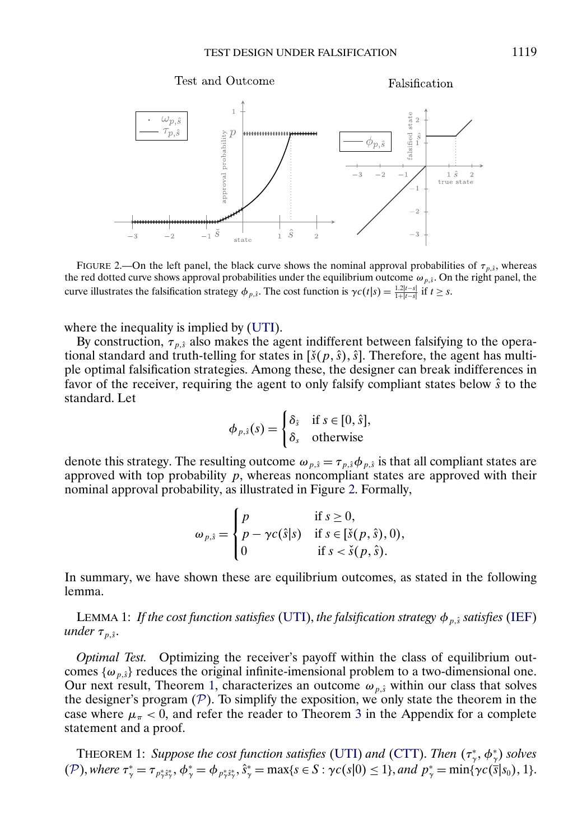<span id="page-10-0"></span>

FIGURE 2.—On the left panel, the black curve shows the nominal approval probabilities of  $\tau_{p,s}$ , whereas the red dotted curve shows approval probabilities under the equilibrium outcome  $\omega_{p,\hat{s}}$ . On the right panel, the curve illustrates the falsification strategy  $\phi_{p,\hat{s}}$ . The cost function is  $\gamma c(t|s) = \frac{1.2|t-s|}{1+|t-s|}$  if  $t \geq s$ .

where the inequality is implied by [\(UTI\)](#page-6-0).

By construction,  $\tau_{p,\hat{s}}$  also makes the agent indifferent between falsifying to the operational standard and truth-telling for states in  $[\check{s}(p,\hat{s}),\hat{s}]$ . Therefore, the agent has multiple optimal falsification strategies. Among these, the designer can break indifferences in favor of the receiver, requiring the agent to only falsify compliant states below  $\hat{s}$  to the standard. Let

> $\phi_{p,\hat{s}}(s) =$  $\int \delta_{\hat{s}}$  if  $s \in [0, \hat{s}],$  $\delta_s$  otherwise

denote this strategy. The resulting outcome  $\omega_{p,s} = \tau_{p,s} \phi_{p,s}$  is that all compliant states are approved with top probability  $p$ , whereas noncompliant states are approved with their nominal approval probability, as illustrated in Figure 2. Formally,

$$
\omega_{p,\hat{s}} = \begin{cases} p & \text{if } s \ge 0, \\ p - \gamma c(\hat{s}|s) & \text{if } s \in [\check{s}(p,\hat{s}), 0), \\ 0 & \text{if } s < \check{s}(p,\hat{s}). \end{cases}
$$

In summary, we have shown these are equilibrium outcomes, as stated in the following lemma.

LEMMA 1: *If the cost function satisfies* [\(UTI\)](#page-6-0), *the falsification strategy*  $\phi_{p,\hat{s}}$  *satisfies* [\(IEF\)](#page-8-0) *under*  $\tau_{p,\hat{s}}$ .

*Optimal Test.* Optimizing the receiver's payoff within the class of equilibrium outcomes  $\{\omega_{p,\hat{s}}\}$  reduces the original infinite-imensional problem to a two-dimensional one. Our next result, Theorem 1, characterizes an outcome  $\omega_{p,\hat{s}}$  within our class that solves the designer's program  $(P)$  $(P)$  $(P)$ . To simplify the exposition, we only state the theorem in the case where  $\mu_{\pi}$  < 0, and refer the reader to Theorem [3](#page-26-0) in the Appendix for a complete statement and a proof.

THEOREM 1: *Suppose the cost function satisfies* [\(UTI\)](#page-6-0) *and* [\(CTT\)](#page-6-0). *Then* (τ<sup>∗</sup> γ φ<sup>∗</sup> <sup>γ</sup>) *solves* ([P](#page-8-0)), where  $\tau^*_{\gamma} = \tau_{p^*_{\gamma} s^*_{\gamma}}, \phi^*_{\gamma} = \phi_{p^*_{\gamma} s^*_{\gamma}}, \hat{s}^*_{\gamma} = \max\{s \in S : \gamma c(s|0) \leq 1\}$ , and  $p^*_{\gamma} = \min\{\gamma c(\bar{s}|s_0), 1\}$ .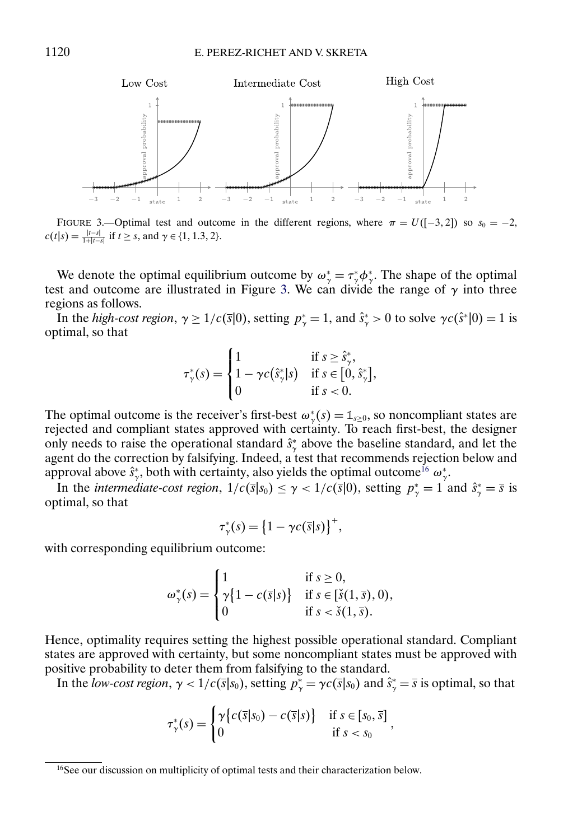

FIGURE 3.—Optimal test and outcome in the different regions, where  $\pi = U([-3, 2])$  so  $s_0 = -2$ ,  $c(t|s) = \frac{|t-s|}{1+|t-s|}$  if  $t \geq s$ , and  $\gamma \in \{1, 1.3, 2\}.$ 

We denote the optimal equilibrium outcome by  $\omega_{\gamma}^* = \tau_{\gamma}^* \phi_{\gamma}^*$ . The shape of the optimal test and outcome are illustrated in Figure 3. We can divide the range of  $\gamma$  into three regions as follows.

In the *high-cost region*,  $\gamma \ge 1/c(\bar{s}|0)$ , setting  $p^*_{\gamma} = 1$ , and  $\hat{s}^*_{\gamma} > 0$  to solve  $\gamma c(\hat{s}^*|0) = 1$  is optimal, so that

$$
\tau^*_{\gamma}(s) = \begin{cases} 1 & \text{if } s \geq \hat{s}^*_{\gamma}, \\ 1 - \gamma c(\hat{s}^*_{\gamma}|s) & \text{if } s \in [0, \hat{s}^*_{\gamma}], \\ 0 & \text{if } s < 0. \end{cases}
$$

The optimal outcome is the receiver's first-best  $\omega^*_{\gamma}(s) = \mathbb{1}_{s \geq 0}$ , so noncompliant states are rejected and compliant states approved with certainty. To reach first-best, the designer only needs to raise the operational standard  $\hat{s}^*_{\gamma}$  above the baseline standard, and let the agent do the correction by falsifying. Indeed, a test that recommends rejection below and approval above  $\hat{s}^*_{\gamma}$ , both with certainty, also yields the optimal outcome<sup>16</sup>  $\omega^*_{\gamma}$ .

In the *intermediate-cost region*,  $1/c(\bar{s}|s_0) \le \gamma < 1/c(\bar{s}|0)$ , setting  $p^*_{\gamma} = 1$  and  $\hat{s}^*_{\gamma} = \bar{s}$  is optimal, so that

$$
\tau^*_{\gamma}(s) = \left\{1 - \gamma c(\overline{s}|s)\right\}^+,
$$

with corresponding equilibrium outcome:

$$
\omega_{\gamma}^*(s) = \begin{cases} 1 & \text{if } s \ge 0, \\ \gamma \{1 - c(\overline{s}|s)\} & \text{if } s \in [\check{s}(1,\overline{s}), 0), \\ 0 & \text{if } s < \check{s}(1,\overline{s}). \end{cases}
$$

Hence, optimality requires setting the highest possible operational standard. Compliant states are approved with certainty, but some noncompliant states must be approved with positive probability to deter them from falsifying to the standard.

In the *low-cost region*,  $\gamma < 1/c(\bar{s}|s_0)$ , setting  $p^*_{\gamma} = \gamma c(\bar{s}|s_0)$  and  $\hat{s}^*_{\gamma} = \bar{s}$  is optimal, so that

$$
\tau^*_{\gamma}(s) = \begin{cases} \gamma \{ c(\overline{s}|s_0) - c(\overline{s}|s) \} & \text{if } s \in [s_0, \overline{s}] \\ 0 & \text{if } s < s_0 \end{cases}
$$

<sup>&</sup>lt;sup>16</sup>See our discussion on multiplicity of optimal tests and their characterization below.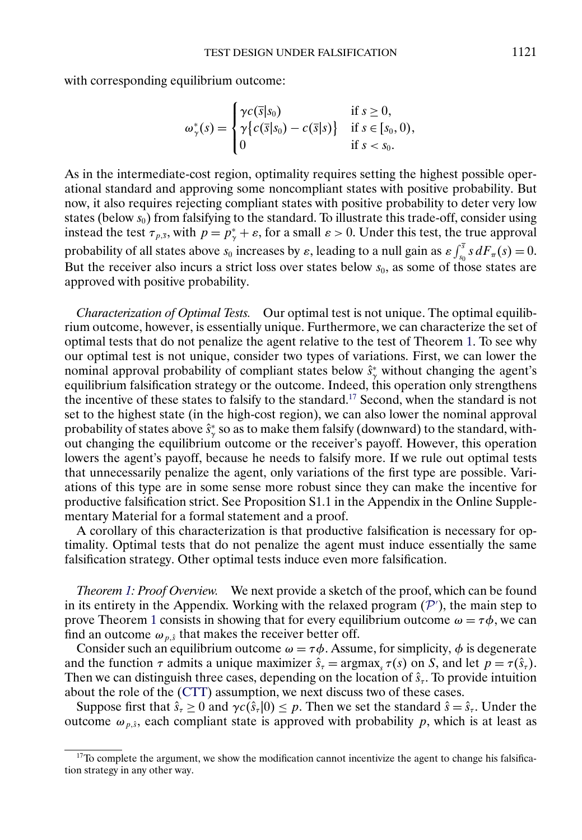with corresponding equilibrium outcome:

$$
\omega_{\gamma}^*(s) = \begin{cases} \gamma c(\overline{s}|s_0) & \text{if } s \geq 0, \\ \gamma \{ c(\overline{s}|s_0) - c(\overline{s}|s) \} & \text{if } s \in [s_0, 0), \\ 0 & \text{if } s < s_0. \end{cases}
$$

As in the intermediate-cost region, optimality requires setting the highest possible operational standard and approving some noncompliant states with positive probability. But now, it also requires rejecting compliant states with positive probability to deter very low states (below  $s_0$ ) from falsifying to the standard. To illustrate this trade-off, consider using instead the test  $\tau_{p,\bar{s}}$ , with  $p = p^*_{\gamma} + \varepsilon$ , for a small  $\varepsilon > 0$ . Under this test, the true approval probability of all states above  $s_0$  increases by  $\varepsilon$ , leading to a null gain as  $\varepsilon \int_{s_0}^{\overline{s}} s dF_\pi(s) = 0$ . But the receiver also incurs a strict loss over states below  $s_0$ , as some of those states are approved with positive probability.

*Characterization of Optimal Tests.* Our optimal test is not unique. The optimal equilibrium outcome, however, is essentially unique. Furthermore, we can characterize the set of optimal tests that do not penalize the agent relative to the test of Theorem [1.](#page-10-0) To see why our optimal test is not unique, consider two types of variations. First, we can lower the nominal approval probability of compliant states below  $\hat{s}^*_{\gamma}$  without changing the agent's equilibrium falsification strategy or the outcome. Indeed, this operation only strengthens the incentive of these states to falsify to the standard.17 Second, when the standard is not set to the highest state (in the high-cost region), we can also lower the nominal approval probability of states above  $\hat{s}^*_{\gamma}$  so as to make them falsify (downward) to the standard, without changing the equilibrium outcome or the receiver's payoff. However, this operation lowers the agent's payoff, because he needs to falsify more. If we rule out optimal tests that unnecessarily penalize the agent, only variations of the first type are possible. Variations of this type are in some sense more robust since they can make the incentive for productive falsification strict. See Proposition S1.1 in the Appendix in the Online Supplementary Material for a formal statement and a proof.

A corollary of this characterization is that productive falsification is necessary for optimality. Optimal tests that do not penalize the agent must induce essentially the same falsification strategy. Other optimal tests induce even more falsification.

*Theorem [1:](#page-10-0) Proof Overview.* We next provide a sketch of the proof, which can be found in its entirety in the Appendix. Working with the relaxed program  $(P')$ , the main step to prove Theorem [1](#page-10-0) consists in showing that for every equilibrium out[com](#page-9-0)e  $\omega = \tau \phi$ , we can find an outcome  $\omega_{p,\hat{s}}$  that makes the receiver better off.

Consider such an equilibrium outcome  $\omega = \tau \phi$ . Assume, for simplicity,  $\phi$  is degenerate and the function  $\tau$  admits a unique maximizer  $\hat{s}_\tau = \argmax_s \tau(s)$  on S, and let  $p = \tau(\hat{s}_\tau)$ . Then we can distinguish three cases, depending on the location of  $\hat{s}_r$ . To provide intuition about the role of the [\(CTT\)](#page-6-0) assumption, we next discuss two of these cases.

Suppose first that  $\hat{s}_\tau \geq 0$  and  $\gamma c(\hat{s}_\tau | 0) \leq p$ . Then we set the standard  $\hat{s} = \hat{s}_\tau$ . Under the outcome  $\omega_{p,\hat{s}}$ , each compliant state is approved with probability p, which is at least as

 $17$ To complete the argument, we show the modification cannot incentivize the agent to change his falsification strategy in any other way.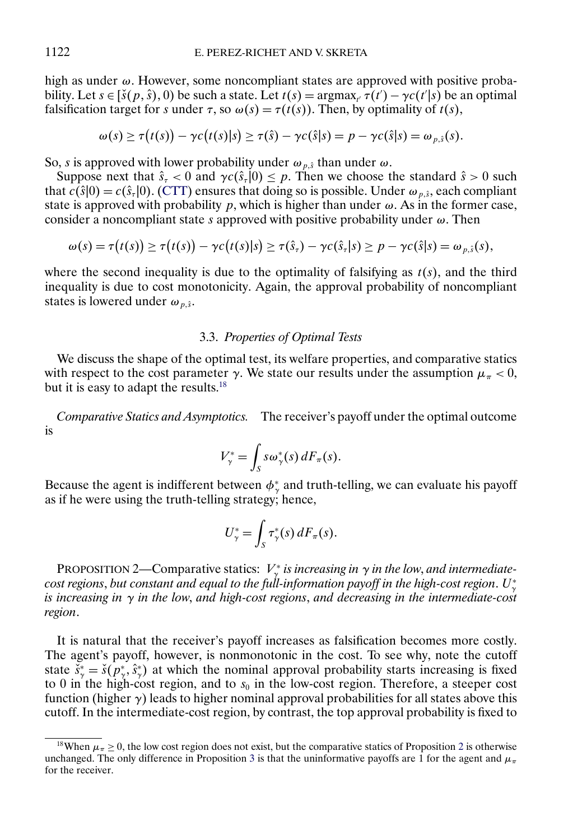high as under  $\omega$ . However, some noncompliant states are approved with positive probability. Let  $s \in [\check{s}(p, \hat{s}), 0)$  be such a state. Let  $t(s) = \operatorname{argmax}_{t'} \tau(t') - \gamma c(t'|s)$  be an optimal falsification target for s under  $\tau$ , so  $\omega(s) = \tau(t(s))$ . Then, by optimality of  $t(s)$ ,

$$
\omega(s) \geq \tau(t(s)) - \gamma c(t(s)|s) \geq \tau(\hat{s}) - \gamma c(\hat{s}|s) = p - \gamma c(\hat{s}|s) = \omega_{p,\hat{s}}(s).
$$

So, s is approved with lower probability under  $\omega_{p,\hat{s}}$  than under  $\omega$ .

Suppose next that  $\hat{s}_\tau < 0$  and  $\gamma c(\hat{s}_\tau | 0) \leq p$ . Then we choose the standard  $\hat{s} > 0$  such that  $c(\hat{s}|0) = c(\hat{s}_\tau|0)$ . [\(CTT\)](#page-6-0) ensures that doing so is possible. Under  $\omega_{n,\hat{s}}$ , each compliant state is approved with probability p, which is higher than under  $\omega$ . As in the former case, consider a noncompliant state s approved with positive probability under  $\omega$ . Then

$$
\omega(s) = \tau(t(s)) \geq \tau(t(s)) - \gamma c(t(s)|s) \geq \tau(\hat{s}_\tau) - \gamma c(\hat{s}_\tau|s) \geq p - \gamma c(\hat{s}|s) = \omega_{p,\hat{s}}(s),
$$

where the second inequality is due to the optimality of falsifying as  $t(s)$ , and the third inequality is due to cost monotonicity. Again, the approval probability of noncompliant states is lowered under  $\omega_{p,\hat{s}}$ .

### 3.3. *Properties of Optimal Tests*

We discuss the shape of the optimal test, its welfare properties, and comparative statics with respect to the cost parameter  $\gamma$ . We state our results under the assumption  $\mu_{\pi} < 0$ , but it is easy to adapt the results.<sup>18</sup>

*Comparative Statics and Asymptotics.* The receiver's payoff under the optimal outcome is

$$
V_{\gamma}^* = \int_S s \omega_{\gamma}^*(s) dF_{\pi}(s).
$$

Because the agent is indifferent between  $\phi^*$  and truth-telling, we can evaluate his payoff as if he were using the truth-telling strategy; hence,

$$
U_{\gamma}^* = \int_S \tau_{\gamma}^*(s) dF_{\pi}(s).
$$

PROPOSITION 2—Comparative statics:  $V_{\gamma}^*$  *is increasing in*  $\gamma$  *in the low, and intermediatecost regions*, *but constant and equal to the full-information payoff in the high-cost region*. U<sup>∗</sup> γ *is increasing in* γ *in the low*, *and high-cost regions*, *and decreasing in the intermediate-cost region*.

It is natural that the receiver's payoff increases as falsification becomes more costly. The agent's payoff, however, is nonmonotonic in the cost. To see why, note the cutoff state  $\check{s}^*_{\gamma} = \check{s}(p^*_{\gamma}, \hat{s}^*_{\gamma})$  at which the nominal approval probability starts increasing is fixed to 0 in the high-cost region, and to  $s_0$  in the low-cost region. Therefore, a steeper cost function (higher  $\gamma$ ) leads to higher nominal approval probabilities for all states above this cutoff. In the intermediate-cost region, by contrast, the top approval probability is fixed to

<sup>&</sup>lt;sup>18</sup>When  $\mu_{\pi} \ge 0$ , the low cost region does not exist, but the comparative statics of Proposition 2 is otherwise unchanged. The only difference in Proposition [3](#page-14-0) is that the uninformative payoffs are 1 for the agent and  $\mu_{\pi}$ for the receiver.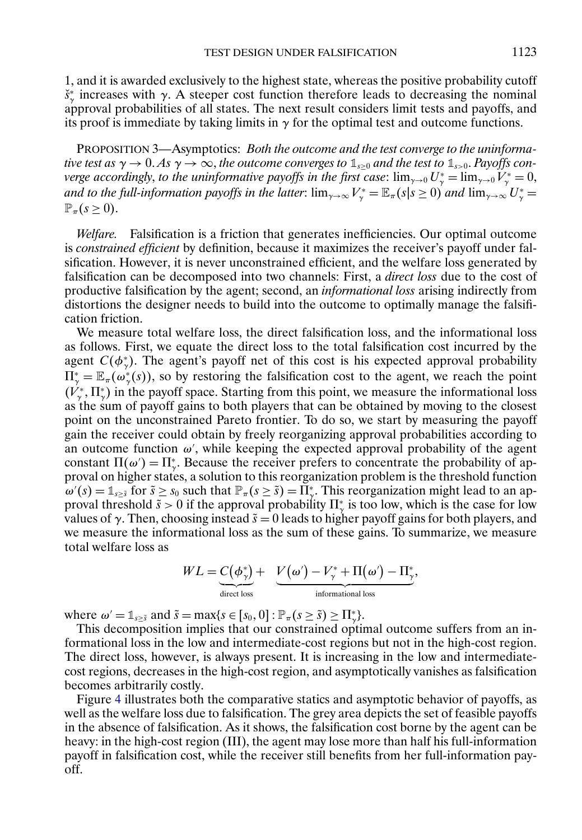<span id="page-14-0"></span>1, and it is awarded exclusively to the highest state, whereas the positive probability cutoff  $\check{s}^*_{\gamma}$  increases with  $\gamma$ . A steeper cost function therefore leads to decreasing the nominal approval probabilities of all states. The next result considers limit tests and payoffs, and its proof is immediate by taking limits in  $\gamma$  for the optimal test and outcome functions.

PROPOSITION 3—Asymptotics: *Both the outcome and the test converge to the uninformative test as*  $\gamma \to 0$ . *As*  $\gamma \to \infty$ , *the outcome converges to*  $\mathbb{1}_{s>0}$  *and the test to*  $\mathbb{1}_{s>0}$ *. Payoffs converge accordingly, to the uninformative payoffs in the first case:*  $\lim_{\gamma\to 0} U^*_\gamma = \lim_{\gamma\to 0} V^*_\gamma = 0$ , *and to the full-information payoffs in the latter:*  $\lim_{\gamma\to\infty}V_{\gamma}^*=\mathbb{E}_{\pi}(s|s\geq 0)$  *and*  $\lim_{\gamma\to\infty}U_{\gamma}^*=$  $\mathbb{P}_{\pi}(s \geq 0).$ 

*Welfare.* Falsification is a friction that generates inefficiencies. Our optimal outcome is *constrained efficient* by definition, because it maximizes the receiver's payoff under falsification. However, it is never unconstrained efficient, and the welfare loss generated by falsification can be decomposed into two channels: First, a *direct loss* due to the cost of productive falsification by the agent; second, an *informational loss* arising indirectly from distortions the designer needs to build into the outcome to optimally manage the falsification friction.

We measure total welfare loss, the direct falsification loss, and the informational loss as follows. First, we equate the direct loss to the total falsification cost incurred by the agent  $C(\phi^*_{\gamma})$ . The agent's payoff net of this cost is his expected approval probability  $\Pi_{\gamma}^* = \mathbb{E}_{\pi}(\omega_{\gamma}^*(s))$ , so by restoring the falsification cost to the agent, we reach the point  $(V_{\gamma}^*, \Pi_{\gamma}^*)$  in the payoff space. Starting from this point, we measure the informational loss as the sum of payoff gains to both players that can be obtained by moving to the closest point on the unconstrained Pareto frontier. To do so, we start by measuring the payoff gain the receiver could obtain by freely reorganizing approval probabilities according to an outcome function  $\omega'$ , while keeping the expected approval probability of the agent constant  $\Pi(\omega') = \Pi^*_{\gamma}$ . Because the receiver prefers to concentrate the probability of approval on higher states, a solution to this reorganization problem is the threshold function  $\omega'(s) = \mathbb{1}_{s \geq \bar{s}}$  for  $\tilde{s} \geq s_0$  such that  $\mathbb{P}_{\pi}(s \geq \tilde{s}) = \prod_{\gamma=1}^{\infty} \tilde{s}$ . This reorganization might lead to an approval threshold  $\tilde{s} > 0$  if the approval probability  $\prod_{\gamma}^{*}$  is too low, which is the case for low values of  $\gamma$ . Then, choosing instead  $\tilde{s} = 0$  leads to higher payoff gains for both players, and we measure the informational loss as the sum of these gains. To summarize, we measure total welfare loss as

$$
WL = \underbrace{C(\phi^*_{\gamma})}_{\text{direct loss}} + \underbrace{V(\omega') - V^*_{\gamma} + \Pi(\omega') - \Pi^*_{\gamma}}_{\text{informational loss}},
$$

where  $\omega' = \mathbb{1}_{s \geq \tilde{s}}$  and  $\tilde{s} = \max\{s \in [s_0, 0] : \mathbb{P}_{\pi}(s \geq \tilde{s}) \geq \Pi_{\gamma}^*\}.$ 

This decomposition implies that our constrained optimal outcome suffers from an informational loss in the low and intermediate-cost regions but not in the high-cost region. The direct loss, however, is always present. It is increasing in the low and intermediatecost regions, decreases in the high-cost region, and asymptotically vanishes as falsification becomes arbitrarily costly.

Figure [4](#page-15-0) illustrates both the comparative statics and asymptotic behavior of payoffs, as well as the welfare loss due to falsification. The grey area depicts the set of feasible payoffs in the absence of falsification. As it shows, the falsification cost borne by the agent can be heavy: in the high-cost region (III), the agent may lose more than half his full-information payoff in falsification cost, while the receiver still benefits from her full-information payoff.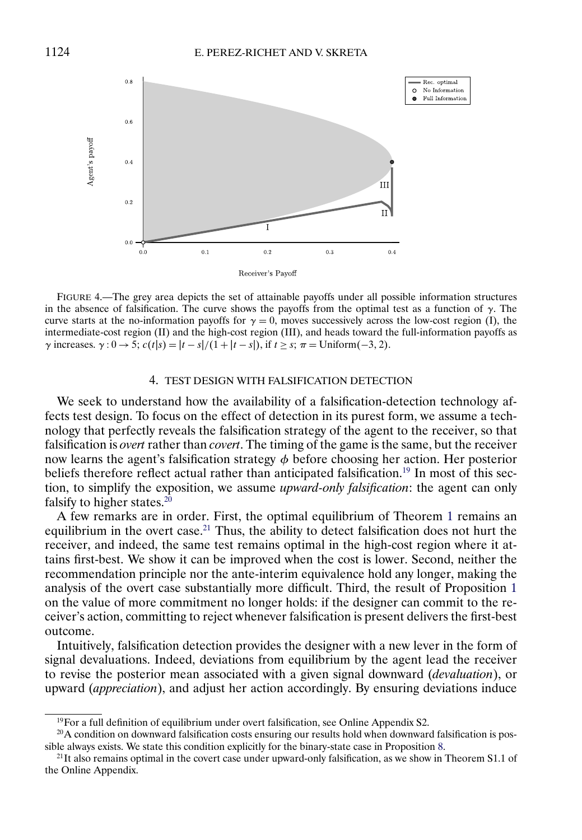<span id="page-15-0"></span>

FIGURE 4.—The grey area depicts the set of attainable payoffs under all possible information structures in the absence of falsification. The curve shows the payoffs from the optimal test as a function of  $\gamma$ . The curve starts at the no-information payoffs for  $\gamma = 0$ , moves successively across the low-cost region (I), the intermediate-cost region (II) and the high-cost region (III), and heads toward the full-information payoffs as  $\gamma$  increases.  $\gamma$  : 0  $\rightarrow$  5;  $c(t|s) = |t - s|/(1 + |t - s|)$ , if  $t \geq s$ ;  $\pi$  = Uniform(-3, 2).

### 4. TEST DESIGN WITH FALSIFICATION DETECTION

We seek to understand how the availability of a falsification-detection technology affects test design. To focus on the effect of detection in its purest form, we assume a technology that perfectly reveals the falsification strategy of the agent to the receiver, so that falsification is *overt* rather than *covert*. The timing of the game is the same, but the receiver now learns the agent's falsification strategy  $\phi$  before choosing her action. Her posterior beliefs therefore reflect actual rather than anticipated falsification.<sup>19</sup> In most of this section, to simplify the exposition, we assume *upward-only falsification*: the agent can only falsify to higher states.<sup>20</sup>

A few remarks are in order. First, the optimal equilibrium of Theorem [1](#page-10-0) remains an equilibrium in the overt case.<sup>21</sup> Thus, the ability to detect falsification does not hurt the receiver, and indeed, the same test remains optimal in the high-cost region where it attains first-best. We show it can be improved when the cost is lower. Second, neither the recommendation principle nor the ante-interim equivalence hold any longer, making the analysis of the overt case substantially more difficult. Third, the result of Proposition [1](#page-9-0) on the value of more commitment no longer holds: if the designer can commit to the receiver's action, committing to reject whenever falsification is present delivers the first-best outcome.

Intuitively, falsification detection provides the designer with a new lever in the form of signal devaluations. Indeed, deviations from equilibrium by the agent lead the receiver to revise the posterior mean associated with a given signal downward (*devaluation*), or upward (*appreciation*), and adjust her action accordingly. By ensuring deviations induce

<sup>&</sup>lt;sup>19</sup>For a full definition of equilibrium under overt falsification, see Online Appendix S2.

 $20A$  condition on downward falsification costs ensuring our results hold when downward falsification is possible always exists. We state this condition explicitly for the binary-state case in Proposition [8.](#page-23-0)

 $^{21}$ It also remains optimal in the covert case under upward-only falsification, as we show in Theorem S1.1 of the Online Appendix.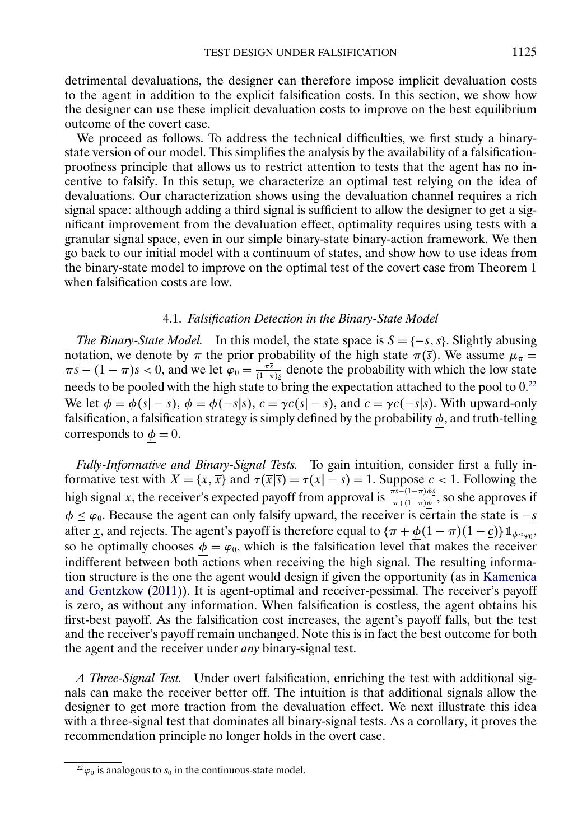<span id="page-16-0"></span>detrimental devaluations, the designer can therefore impose implicit devaluation costs to the agent in addition to the explicit falsification costs. In this section, we show how the designer can use these implicit devaluation costs to improve on the best equilibrium outcome of the covert case.

We proceed as follows. To address the technical difficulties, we first study a binarystate version of our model. This simplifies the analysis by the availability of a falsificationproofness principle that allows us to restrict attention to tests that the agent has no incentive to falsify. In this setup, we characterize an optimal test relying on the idea of devaluations. Our characterization shows using the devaluation channel requires a rich signal space: although adding a third signal is sufficient to allow the designer to get a significant improvement from the devaluation effect, optimality requires using tests with a granular signal space, even in our simple binary-state binary-action framework. We then go back to our initial model with a continuum of states, and show how to use ideas from the binary-state model to improve on the optimal test of the covert case from Theorem [1](#page-10-0) when falsification costs are low.

#### 4.1. *Falsification Detection in the Binary-State Model*

*The Binary-State Model.* In this model, the state space is  $S = \{-s, \overline{s}\}$ . Slightly abusing notation, we denote by  $\pi$  the prior probability of the high state  $\pi(\bar{s})$ . We assume  $\mu_{\pi} =$  $\pi\overline{s} - (1-\pi)\underline{s} < 0$ , and we let  $\varphi_0 = \frac{\pi\overline{s}}{(1-\pi)\underline{s}}$  denote the probability with which the low state needs to be pooled with the high state to bring the expectation attached to the pool to 0.<sup>22</sup> We let  $\phi = \phi(\bar{s} | - \underline{s})$ ,  $\overline{\phi} = \phi(-\underline{s}|\overline{s})$ ,  $\underline{c} = \gamma c(\overline{s} | - \underline{s})$ , and  $\overline{c} = \gamma c(-\underline{s}|\overline{s})$ . With upward-only falsification, a falsification strategy is simply defined by the probability  $\phi$ , and truth-telling corresponds to  $\phi = 0$ .

*Fully-Informative and Binary-Signal Tests.* To gain intuition, consider first a fully informative test with  $X = \{x, \overline{x}\}\$ and  $\tau(\overline{x}|\overline{s}) = \tau(\underline{x}|-s) = 1$ . Suppose  $\underline{c} < 1$ . Following the high signal  $\overline{x}$ , the receiver's expected payoff from approval is  $\frac{\pi \overline{s}-(1-\pi)\underline{\phi_s}}{\pi+(1-\pi)\underline{\phi}}$ , so she approves if  $\phi \leq \varphi_0$ . Because the agent can only falsify upward, the receiver is certain the state is  $-\underline{s}$ after x, and rejects. The agent's payoff is therefore equal to  $\{\pi + \phi(1 - \pi)(1 - \underline{c})\}\mathbb{1}_{\phi \leq \varphi_0},$ so he optimally chooses  $\phi = \varphi_0$ , which is the falsification level that makes the receiver indifferent between both actions when receiving the high signal. The resulting information structure is the one the agent would design if given the opportunity (as in [Kamenica](#page-32-0) [and Gentzkow](#page-32-0) [\(2011\)](#page-32-0)). It is agent-optimal and receiver-pessimal. The receiver's payoff is zero, as without any information. When falsification is costless, the agent obtains his first-best payoff. As the falsification cost increases, the agent's payoff falls, but the test and the receiver's payoff remain unchanged. Note this is in fact the best outcome for both the agent and the receiver under *any* binary-signal test.

*A Three-Signal Test.* Under overt falsification, enriching the test with additional signals can make the receiver better off. The intuition is that additional signals allow the designer to get more traction from the devaluation effect. We next illustrate this idea with a three-signal test that dominates all binary-signal tests. As a corollary, it proves the recommendation principle no longer holds in the overt case.

 $^{22}\varphi_0$  is analogous to  $s_0$  in the continuous-state model.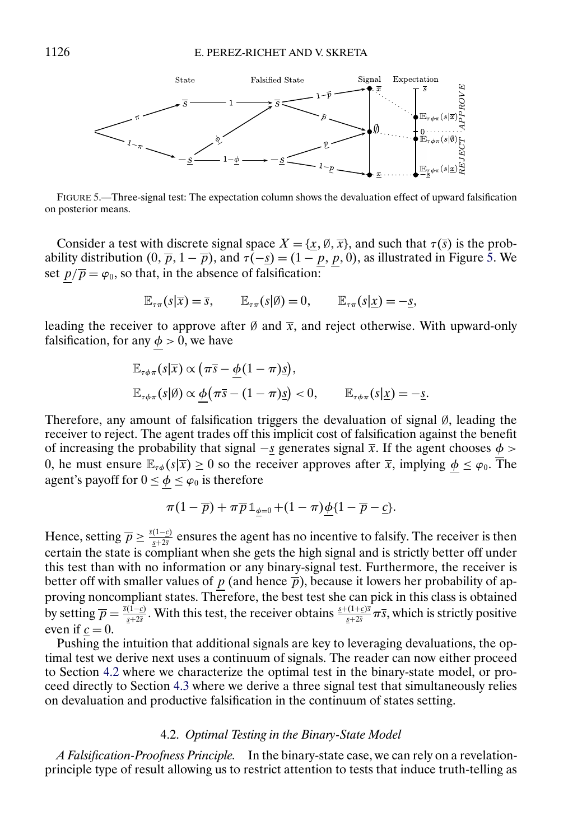

FIGURE 5.—Three-signal test: The expectation column shows the devaluation effect of upward falsification on posterior means.

Consider a test with discrete signal space  $X = \{x, \emptyset, \overline{x}\}\,$  and such that  $\tau(\overline{s})$  is the probability distribution  $(0, \overline{p}, 1 - \overline{p})$ , and  $\tau(-s) = (1 - p, p, 0)$ , as illustrated in Figure 5. We set  $p/\overline{p} = \varphi_0$ , so that, in the absence of falsification:

$$
\mathbb{E}_{\tau\pi}(s|\overline{x}) = \overline{s}, \qquad \mathbb{E}_{\tau\pi}(s|\emptyset) = 0, \qquad \mathbb{E}_{\tau\pi}(s|\underline{x}) = -\underline{s},
$$

leading the receiver to approve after Ø and  $\bar{x}$ , and reject otherwise. With upward-only falsification, for any  $\phi > 0$ , we have

$$
\mathbb{E}_{\tau\phi\pi}(s|\overline{x}) \propto (\pi\overline{s} - \underline{\phi}(1-\pi)\underline{s}),
$$
  

$$
\mathbb{E}_{\tau\phi\pi}(s|\emptyset) \propto \underline{\phi}(\pi\overline{s} - (1-\pi)\underline{s}) < 0, \qquad \mathbb{E}_{\tau\phi\pi}(s|\underline{x}) = -\underline{s}.
$$

Therefore, any amount of falsification triggers the devaluation of signal ∅, leading the receiver to reject. The agent trades off this implicit cost of falsification against the benefit of increasing the probability that signal  $-s$  generates signal  $\overline{x}$ . If the agent chooses  $\phi$  > 0, he must ensure  $\mathbb{E}_{\tau\phi}(s|\overline{x}) \ge 0$  so the receiver approves after  $\overline{x}$ , implying  $\phi \le \varphi_0$ . The agent's payoff for  $0 \le \phi \le \varphi_0$  is therefore

$$
\pi(1-\overline{p})+\pi\overline{p}\mathbb{1}_{\underline{\phi}=0}+(1-\pi)\underline{\phi}\{1-\overline{p}-\underline{c}\}.
$$

Hence, setting  $\overline{p} \ge \frac{\overline{s}(1-c)}{s+2\overline{s}}$  ensures the agent has no incentive to falsify. The receiver is then certain the state is compliant when she gets the high signal and is strictly better off under this test than with no information or any binary-signal test. Furthermore, the receiver is better off with smaller values of p (and hence  $\overline{p}$ ), because it lowers her probability of approving noncompliant states. Therefore, the best test she can pick in this class is obtained by setting  $\overline{p} = \frac{\overline{s}(1-c)}{s+2\overline{s}}$ . With this test, the receiver obtains  $\frac{s+(1+c)\overline{s}}{s+2\overline{s}} \pi \overline{s}$ , which is strictly positive even if  $c = 0$ .

Pushing the intuition that additional signals are key to leveraging devaluations, the optimal test we derive next uses a continuum of signals. The reader can now either proceed to Section 4.2 where we characterize the optimal test in the binary-state model, or proceed directly to Section [4.3](#page-23-0) where we derive a three signal test that simultaneously relies on devaluation and productive falsification in the continuum of states setting.

## 4.2. *Optimal Testing in the Binary-State Model*

*A Falsification-Proofness Principle.* In the binary-state case, we can rely on a revelationprinciple type of result allowing us to restrict attention to tests that induce truth-telling as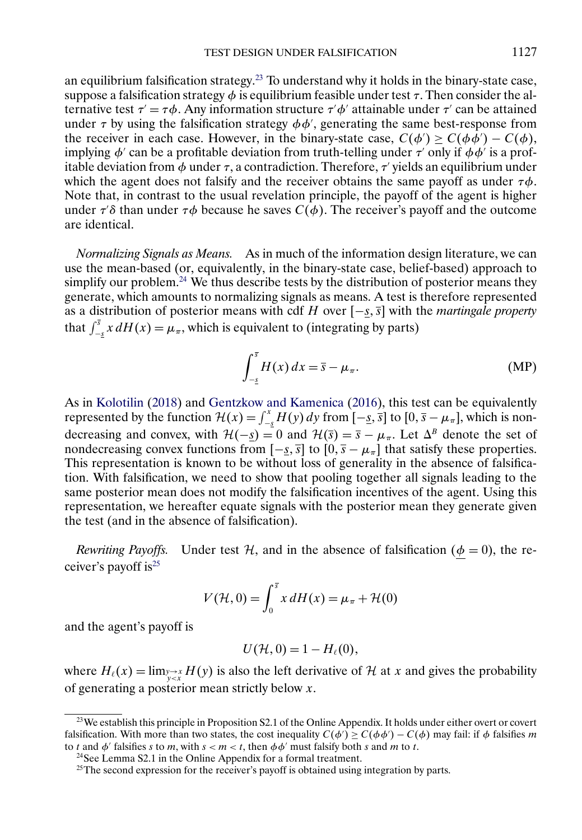<span id="page-18-0"></span>an equilibrium falsification strategy.23 To understand why it holds in the binary-state case, suppose a falsification strategy  $\phi$  is equilibrium feasible under test  $\tau$ . Then consider the alternative test  $\tau' = \tau \phi$ . Any information structure  $\tau' \phi'$  attainable under  $\tau'$  can be attained under  $\tau$  by using the falsification strategy  $\phi\phi'$ , generating the same best-response from the receiver in each case. However, in the binary-state case,  $C(\phi') \ge C(\phi \phi') - C(\phi)$ , implying  $\phi'$  can be a profitable deviation from truth-telling under  $\tau'$  only if  $\phi\phi'$  is a profitable deviation from  $\phi$  under  $\tau$ , a contradiction. Therefore,  $\tau'$  yields an equilibrium under which the agent does not falsify and the receiver obtains the same payoff as under  $\tau\phi$ . Note that, in contrast to the usual revelation principle, the payoff of the agent is higher under  $\tau\delta$  than under  $\tau\phi$  because he saves  $C(\phi)$ . The receiver's payoff and the outcome are identical.

*Normalizing Signals as Means.* As in much of the information design literature, we can use the mean-based (or, equivalently, in the binary-state case, belief-based) approach to simplify our problem.<sup>24</sup> We thus describe tests by the distribution of posterior means they generate, which amounts to normalizing signals as means. A test is therefore represented as a distribution of posterior means with cdf H over  $[-s, \overline{s}]$  with the *martingale property* that  $\int_{-\frac{s}{2}}^{\frac{s}{2}} x dH(x) = \mu_{\pi}$ , which is equivalent to (integrating by parts)

$$
\int_{-\underline{s}}^{\overline{s}} H(x) dx = \overline{s} - \mu_{\pi}.
$$
 (MP)

As in [Kolotilin](#page-32-0) [\(2018\)](#page-32-0) and [Gentzkow and Kamenica](#page-32-0) [\(2016\)](#page-32-0), this test can be equivalently represented by the function  $\mathcal{H}(x) = \int_{-\frac{s}{2}}^{x} H(y) dy$  from  $[-\frac{s}{2}, \frac{s}{2}]$  to  $[0, \frac{s}{2} - \mu_{\pi}]$ , which is nondecreasing and convex, with  $\mathcal{H}(-\underline{s}) = 0$  and  $\mathcal{H}(\overline{s}) = \overline{s} - \mu_{\pi}$ . Let  $\Delta^{B}$  denote the set of nondecreasing convex functions from  $[-s, \overline{s}]$  to  $[0, \overline{s} - \mu_{\pi}]$  that satisfy these properties. This representation is known to be without loss of generality in the absence of falsification. With falsification, we need to show that pooling together all signals leading to the same posterior mean does not modify the falsification incentives of the agent. Using this representation, we hereafter equate signals with the posterior mean they generate given the test (and in the absence of falsification).

*Rewriting Payoffs.* Under test  $H$ , and in the absence of falsification ( $\phi = 0$ ), the receiver's payoff is<sup>25</sup>

$$
V(\mathcal{H}, 0) = \int_0^{\bar{s}} x \, dH(x) = \mu_{\pi} + \mathcal{H}(0)
$$

and the agent's payoff is

$$
U(\mathcal{H},0)=1-H_{\ell}(0),
$$

where  $H_{\ell}(x) = \lim_{y \to x} H(y)$  is also the left derivative of H at x and gives the probability of generating a posterior mean strictly below  $x$ .

<sup>&</sup>lt;sup>23</sup>We establish this principle in Proposition S2.1 of the Online Appendix. It holds under either overt or covert falsification. With more than two states, the cost inequality  $C(\phi') \ge C(\phi \phi') - C(\phi)$  may fail: if  $\phi$  falsifies m to t and  $\phi'$  falsifies s to m, with  $s < m < t$ , then  $\phi \phi'$  must falsify both s and m to t.

<sup>24</sup>See Lemma S2.1 in the Online Appendix for a formal treatment.

 $25$ The second expression for the receiver's payoff is obtained using integration by parts.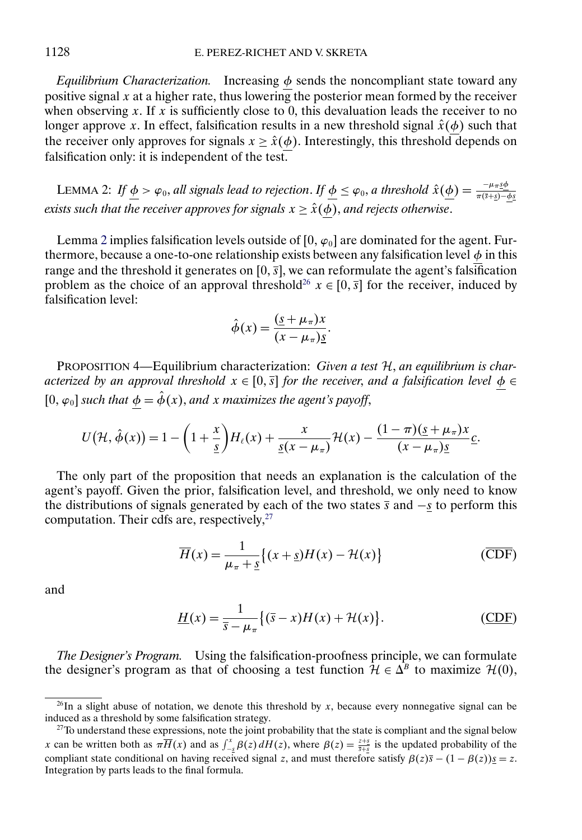<span id="page-19-0"></span>*Equilibrium Characterization.* Increasing  $\phi$  sends the noncompliant state toward any positive signal x at a higher rate, thus lowering the posterior mean formed by the receiver when observing x. If x is sufficiently close to 0, this devaluation leads the receiver to no longer approve x. In effect, falsification results in a new threshold signal  $\hat{x}(\phi)$  such that the receiver only approves for signals  $x \ge \hat{x}(\phi)$ . Interestingly, this threshold depends on falsification only: it is independent of the test.

LEMMA 2: If  $\underline{\phi} > \varphi_0$ , all signals lead to rejection. If  $\underline{\phi} \leq \varphi_0$ , a threshold  $\hat{x}(\underline{\phi}) = \frac{-\mu \pi \hat{s} \phi}{\pi (\bar{s} + \bar{s}) - \phi \hat{s}}$ *exists such that the receiver approves for signals*  $x \ge \hat{x}(\phi)$ *, and rejects otherwise.* 

Lemma 2 implies falsification levels outside of  $[0, \varphi_0]$  are dominated for the agent. Furthermore, because a one-to-one relationship exists between any falsification level  $\phi$  in this range and the threshold it generates on [0,  $\overline{s}$ ], we can reformulate the agent's falsification problem as the choice of an approval threshold<sup>26</sup>  $x \in [0, \overline{s}]$  for the receiver, induced by falsification level:

$$
\hat{\phi}(x) = \frac{(\underline{s} + \mu_{\pi})x}{(x - \mu_{\pi})\underline{s}}.
$$

PROPOSITION 4—Equilibrium characterization: *Given a test* H, *an equilibrium is characterized by an approval threshold*  $x \in [0, \overline{s}]$  *for the receiver, and a falsification level*  $\phi \in$  $[0, \varphi_0]$  *such that*  $\phi = \hat{\phi}(x)$ *, and x maximizes the agent's payoff,* 

$$
U(\mathcal{H},\hat{\phi}(x))=1-\bigg(1+\frac{x}{\underline{s}}\bigg)H_{\ell}(x)+\frac{x}{\underline{s}(x-\mu_{\pi})}\mathcal{H}(x)-\frac{(1-\pi)(\underline{s}+\mu_{\pi})x}{(x-\mu_{\pi})\underline{s}}\underline{c}.
$$

The only part of the proposition that needs an explanation is the calculation of the agent's payoff. Given the prior, falsification level, and threshold, we only need to know the distributions of signals generated by each of the two states  $\overline{s}$  and  $-\overline{s}$  to perform this computation. Their cdfs are, respectively,<sup>27</sup>

$$
\overline{H}(x) = \frac{1}{\mu_{\pi} + \underline{s}} \{ (x + \underline{s})H(x) - \mathcal{H}(x) \}
$$
 (CDF)

and

$$
\underline{H}(x) = \frac{1}{\overline{s} - \mu_{\pi}} \{ (\overline{s} - x)H(x) + \mathcal{H}(x) \}.
$$
 (CDF)

*The Designer's Program.* Using the falsification-proofness principle, we can formulate the designer's program as that of choosing a test function  $\mathcal{H} \in \Delta^B$  to maximize  $\mathcal{H}(0)$ ,

<sup>&</sup>lt;sup>26</sup>In a slight abuse of notation, we denote this threshold by x, because every nonnegative signal can be induced as a threshold by some falsification strategy.

<sup>&</sup>lt;sup>27</sup>To understand these expressions, note the joint probability that the state is compliant and the signal below x can be written both as  $\pi \overline{H}(x)$  and as  $\int_{-\frac{5}{2}}^{x} \beta(z) dH(z)$ , where  $\beta(z) = \frac{z+s}{\overline{s}+\frac{s}{2}}$  is the updated probability of the compliant state conditional on having received signal z, and must therefore satisfy  $\beta(z)\overline{s} - (1 - \beta(z))\underline{s} = z$ . Integration by parts leads to the final formula.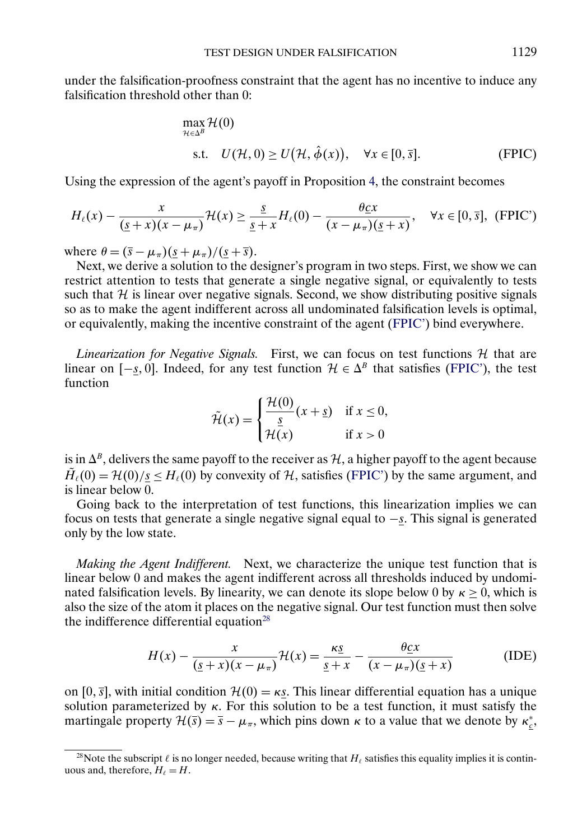<span id="page-20-0"></span>under the falsification-proofness constraint that the agent has no incentive to induce any falsification threshold other than 0:

$$
\max_{\mathcal{H}\in\Delta^B} \mathcal{H}(0)
$$
  
s.t.  $U(\mathcal{H}, 0) \ge U(\mathcal{H}, \hat{\phi}(x)), \quad \forall x \in [0, \overline{s}].$  (FPIC)

Using the expression of the agent's payoff in Proposition [4,](#page-19-0) the constraint becomes

$$
H_{\ell}(x) - \frac{x}{(\underline{s}+x)(x-\mu_{\pi})} \mathcal{H}(x) \ge \frac{\underline{s}}{\underline{s}+x} H_{\ell}(0) - \frac{\theta \underline{c}x}{(x-\mu_{\pi})(\underline{s}+x)}, \quad \forall x \in [0,\overline{s}], \text{ (FPIC')}
$$

where  $\theta = (\bar{s} - \mu_{\pi})(\bar{s} + \mu_{\pi})/(\bar{s} + \bar{s}).$ 

Next, we derive a solution to the designer's program in two steps. First, we show we can restrict attention to tests that generate a single negative signal, or equivalently to tests such that  $H$  is linear over negative signals. Second, we show distributing positive signals so as to make the agent indifferent across all undominated falsification levels is optimal, or equivalently, making the incentive constraint of the agent (FPIC') bind everywhere.

*Linearization for Negative Signals.* First, we can focus on test functions  $H$  that are linear on  $[-s, 0]$ . Indeed, for any test function  $\mathcal{H} \in \Delta^B$  that satisfies (FPIC'), the test function

$$
\tilde{\mathcal{H}}(x) = \begin{cases} \frac{\mathcal{H}(0)}{s} (x + \underline{s}) & \text{if } x \le 0, \\ \frac{\underline{s}}{\mathcal{H}(x)} & \text{if } x > 0 \end{cases}
$$

is in  $\Delta^{B}$ , delivers the same payoff to the receiver as H, a higher payoff to the agent because  $H_{\ell}(0) = H(0)/s < H_{\ell}(0)$  by convexity of H, satisfies (FPIC') by the same argument, and is linear below 0.

Going back to the interpretation of test functions, this linearization implies we can focus on tests that generate a single negative signal equal to  $-\underline{s}$ . This signal is generated only by the low state.

*Making the Agent Indifferent.* Next, we characterize the unique test function that is linear below 0 and makes the agent indifferent across all thresholds induced by undominated falsification levels. By linearity, we can denote its slope below 0 by  $\kappa \ge 0$ , which is also the size of the atom it places on the negative signal. Our test function must then solve the indifference differential equation<sup>28</sup>

$$
H(x) - \frac{x}{(\underline{s} + x)(x - \mu_{\pi})} \mathcal{H}(x) = \frac{\kappa \underline{s}}{\underline{s} + x} - \frac{\theta \underline{c} x}{(x - \mu_{\pi})(\underline{s} + x)}
$$
(IDE)

on [0,  $\overline{s}$ ], with initial condition  $\mathcal{H}(0) = \kappa s$ . This linear differential equation has a unique solution parameterized by  $\kappa$ . For this solution to be a test function, it must satisfy the martingale property  $\mathcal{H}(\bar{s}) = \bar{s} - \mu_{\pi}$ , which pins down  $\kappa$  to a value that we denote by  $\kappa_{\underline{\varepsilon}}^*$ ,

<sup>&</sup>lt;sup>28</sup>Note the subscript  $\ell$  is no longer needed, because writing that  $H_\ell$  satisfies this equality implies it is continuous and, therefore,  $H_{\ell} = H$ .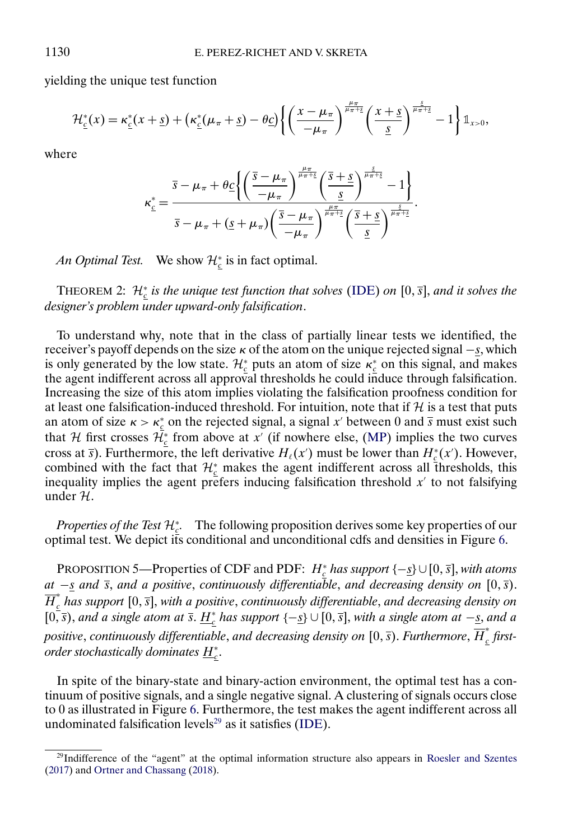yielding the unique test function

$$
\mathcal{H}_{\underline{c}}^*(x) = \kappa_{\underline{c}}^*(x+\underline{s}) + \left(\kappa_{\underline{c}}^*(\mu_{\pi}+\underline{s}) - \theta_{\underline{C}}\right) \left\{ \left(\frac{x-\mu_{\pi}}{-\mu_{\pi}}\right)^{\frac{\mu_{\pi}}{\mu_{\pi}+\underline{s}}} \left(\frac{x+\underline{s}}{\underline{s}}\right)^{\frac{\underline{s}}{\mu_{\pi}+\underline{s}}} - 1 \right\} \mathbb{1}_{x>0},
$$

where

$$
\kappa_{c}^{*} = \frac{\overline{s} - \mu_{\pi} + \theta_{C} \left\{ \left( \frac{\overline{s} - \mu_{\pi}}{-\mu_{\pi}} \right)^{\frac{\mu_{\pi}}{\mu_{\pi} + \underline{s}}} \left( \frac{\overline{s} + \underline{s}}{\underline{s}} \right)^{\frac{\underline{s}}{\mu_{\pi} + \underline{s}}} - 1 \right\}}{\overline{s} - \mu_{\pi} + (\underline{s} + \mu_{\pi}) \left( \frac{\overline{s} - \mu_{\pi}}{-\mu_{\pi}} \right)^{\frac{\mu_{\pi}}{\mu_{\pi} + \underline{s}}} \left( \frac{\overline{s} + \underline{s}}{\underline{s}} \right)^{\frac{\underline{s}}{\mu_{\pi} + \underline{s}}}.
$$

*An Optimal Test.* We show  $\mathcal{H}_{\underline{c}}^*$  is in fact optimal.

THEOREM 2:  $\mathcal{H}_{\underline{c}}^*$  *is the unique test function that solves* [\(IDE\)](#page-20-0) *on* [0,  $\overline{s}$ ], *and it solves the designer's problem under upward-only falsification*.

To understand why, note that in the class of partially linear tests we identified, the receiver's payoff depends on the size  $\kappa$  of the atom on the unique rejected signal  $-\underline{s}$ , which is only generated by the low state.  $\mathcal{H}_{c}^{*}$  puts an atom of size  $\kappa_{c}^{*}$  on this signal, and makes the agent indifferent across all approval thresholds he could induce through falsification. Increasing the size of this atom implies violating the falsification proofness condition for at least one falsification-induced threshold. For intuition, note that if  $H$  is a test that puts an atom of size  $\kappa > \kappa_c^*$  on the rejected signal, a signal x' between 0 and  $\overline{s}$  must exist such that H first crosses  $\mathcal{H}_{\underline{c}}^*$  from above at x' (if nowhere else, [\(MP\)](#page-18-0) implies the two curves cross at  $\bar{s}$ ). Furthermore, the left derivative  $H_{\ell}(x')$  must be lower than  $H_{\ell}^{*}(x')$ . However, combined with the fact that  $\mathcal{H}_{c}^{*}$  makes the agent indifferent across all thresholds, this inequality implies the agent prefers inducing falsification threshold  $x'$  to not falsifying under  $H$ .

*Properties of the Test*  $\mathcal{H}_c^*$ . The following proposition derives some key properties of our optimal test. We depict its conditional and unconditional cdfs and densities in Figure [6.](#page-22-0)

PROPOSITION 5—Properties of CDF and PDF:  $H_{\frac{c}{2}}^*$  *has support* {−<u>s</u>}∪[0, <del>s</del>], *with atoms at* −*s and*  $\bar{s}$ , *and a* positive, *continuously differentiable*, *and decreasing density on* [0,  $\bar{s}$ ).  $\overline{H}_{\text{c}}^{*}$  has support [0, <del>s</del>], with a positive, continuously differentiable, and decreasing density on  $[0, \overline{s})$ , and a single atom at  $\overline{s}$ .  $\underline{H}_{\underline{c}}^{*}$  has support  $\{-\underline{s}\} \cup [0, \overline{s}]$ , with a single atom at  $-\underline{s}$ , and a positive, continuously differentiable, and decreasing density on  $[0,\overline{s})$ . Furthermore,  $\overline{H}_c^*$  first*order stochastically dominates <u>H\*</u>..* 

In spite of the binary-state and binary-action environment, the optimal test has a continuum of positive signals, and a single negative signal. A clustering of signals occurs close to 0 as illustrated in Figure [6.](#page-22-0) Furthermore, the test makes the agent indifferent across all undominated falsification levels $^{29}$  as it satisfies [\(IDE\)](#page-20-0).

<span id="page-21-0"></span>

<sup>29</sup>Indifference of the "agent" at the optimal information structure also appears in [Roesler and Szentes](#page-33-0) [\(2017\)](#page-33-0) and [Ortner and Chassang](#page-33-0) [\(2018\)](#page-33-0).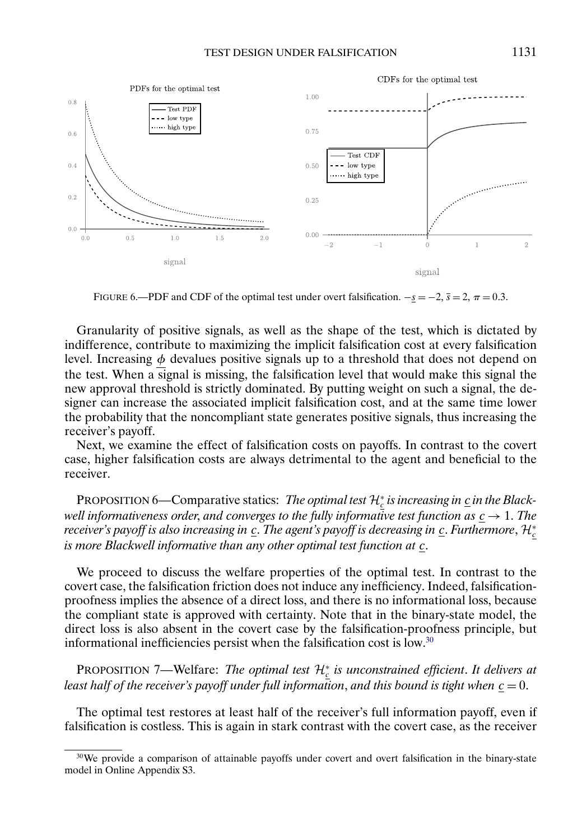<span id="page-22-0"></span>

FIGURE 6.—PDF and CDF of the optimal test under overt falsification.  $-\underline{s} = -2$ ,  $\overline{s} = 2$ ,  $\pi = 0.3$ .

Granularity of positive signals, as well as the shape of the test, which is dictated by indifference, contribute to maximizing the implicit falsification cost at every falsification level. Increasing  $\phi$  devalues positive signals up to a threshold that does not depend on the test. When a signal is missing, the falsification level that would make this signal the new approval threshold is strictly dominated. By putting weight on such a signal, the designer can increase the associated implicit falsification cost, and at the same time lower the probability that the noncompliant state generates positive signals, thus increasing the receiver's payoff.

Next, we examine the effect of falsification costs on payoffs. In contrast to the covert case, higher falsification costs are always detrimental to the agent and beneficial to the receiver.

PROPOSITION 6—Comparative statics: *The optimal test*  $\mathcal{H}_{\underline{c}}^*$  *is increasing in* <u>*c*</u> *in the Blackwell informativeness order, and converges to the fully informative test function as*  $c \rightarrow 1$ *. The receiver's payoff is also increasing in*  $\underline{c}.$  *The agent's payoff is decreasing in*  $\underline{c}.$  *<i>Furthermore,*  $\mathcal{H}^*_{\underline{c}}$ *is more Blackwell informative than any other optimal test function at c.* 

We proceed to discuss the welfare properties of the optimal test. In contrast to the covert case, the falsification friction does not induce any inefficiency. Indeed, falsificationproofness implies the absence of a direct loss, and there is no informational loss, because the compliant state is approved with certainty. Note that in the binary-state model, the direct loss is also absent in the covert case by the falsification-proofness principle, but informational inefficiencies persist when the falsification cost is low.30

PROPOSITION 7—Welfare: *The optimal test*  $\mathcal{H}^*_{\underline{c}}$  *is unconstrained efficient. It delivers at least half of the receiver's payoff under full information, and this bound is tight when*  $c = 0$ .

The optimal test restores at least half of the receiver's full information payoff, even if falsification is costless. This is again in stark contrast with the covert case, as the receiver

<sup>&</sup>lt;sup>30</sup>We provide a comparison of attainable payoffs under covert and overt falsification in the binary-state model in Online Appendix S3.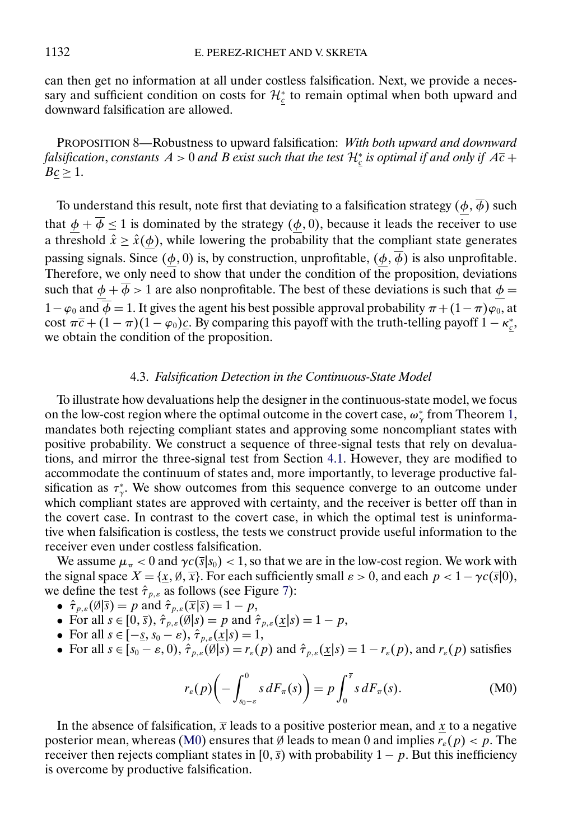<span id="page-23-0"></span>can then get no information at all under costless falsification. Next, we provide a necessary and sufficient condition on costs for  $\mathcal{H}_{\underline{c}}^*$  to remain optimal when both upward and downward falsification are allowed.

PROPOSITION 8—Robustness to upward falsification: *With both upward and downward* falsification, constants  $A > 0$  and  $B$  exist such that the test  $\mathcal{H}^*_c$  is optimal if and only if  $A\overline{c}$  +  $Bc \geq 1$ .

To understand this result, note first that deviating to a falsification strategy  $(\underline{\phi}, \overline{\phi})$  such that  $\underline{\phi} + \phi \le 1$  is dominated by the strategy  $(\underline{\phi}, 0)$ , because it leads the receiver to use a threshold  $\hat{x} \geq \hat{x}(\underline{\phi})$ , while lowering the probability that the compliant state generates passing signals. Since  $(\phi, 0)$  is, by construction, unprofitable,  $(\phi, \overline{\phi})$  is also unprofitable. Therefore, we only need to show that under the condition of the proposition, deviations such that  $\phi + \overline{\phi} > 1$  are also nonprofitable. The best of these deviations is such that  $\phi =$  $1-\varphi_0$  and  $\phi = 1$ . It gives the agent his best possible approval probability  $\pi + (1-\pi)\varphi_0$ , at cost  $\pi \overline{c} + (1 - \pi)(1 - \varphi_0)\underline{c}$ . By comparing this payoff with the truth-telling payoff  $1 - \kappa_{\underline{c}}^*$ , we obtain the condition of the proposition.

### 4.3. *Falsification Detection in the Continuous-State Model*

To illustrate how devaluations help the designer in the continuous-state model, we focus on the low-cost region where the optimal outcome in the covert case,  $\omega_{\gamma}^*$  from Theorem [1,](#page-10-0) mandates both rejecting compliant states and approving some noncompliant states with positive probability. We construct a sequence of three-signal tests that rely on devaluations, and mirror the three-signal test from Section [4.1.](#page-16-0) However, they are modified to accommodate the continuum of states and, more importantly, to leverage productive falsification as  $\tau^*_{\gamma}$ . We show outcomes from this sequence converge to an outcome under which compliant states are approved with certainty, and the receiver is better off than in the covert case. In contrast to the covert case, in which the optimal test is uninformative when falsification is costless, the tests we construct provide useful information to the receiver even under costless falsification.

We assume  $\mu_{\pi} < 0$  and  $\gamma c(\bar{s}|s_0) < 1$ , so that we are in the low-cost region. We work with the signal space  $X = \{x, \emptyset, \overline{x}\}$ . For each sufficiently small  $\varepsilon > 0$ , and each  $p < 1 - \gamma c(\overline{s}|0)$ , we define the test  $\hat{\tau}_{p,\varepsilon}$  as follows (see Figure [7\)](#page-24-0):

- $\hat{\tau}_{p,\varepsilon}(\emptyset|\overline{s}) = p$  and  $\hat{\tau}_{p,\varepsilon}(\overline{x}|\overline{s}) = 1 p$ ,
- For all  $s \in [0, \overline{s})$ ,  $\hat{\tau}_{p,\varepsilon}(\emptyset | s) = p$  and  $\hat{\tau}_{p,\varepsilon}(\underline{x} | s) = 1 p$ ,
- For all  $s \in [-\underline{s}, s_0 \varepsilon), \hat{\tau}_{p,\varepsilon}(\underline{x}|s) = 1$ ,
- For all  $s \in [s_0 \varepsilon, 0), \hat{\tau}_{p,\varepsilon}(\emptyset | s) = r_{\varepsilon}(p)$  and  $\hat{\tau}_{p,\varepsilon}(\underline{x} | s) = 1 r_{\varepsilon}(p)$ , and  $r_{\varepsilon}(p)$  satisfies

$$
r_{\varepsilon}(p)\bigg(-\int_{s_0-\varepsilon}^0 s dF_{\pi}(s)\bigg) = p \int_0^{\overline{s}} s dF_{\pi}(s). \tag{M0}
$$

In the absence of falsification,  $\bar{x}$  leads to a positive posterior mean, and x to a negative posterior mean, whereas (M0) ensures that Ø leads to mean 0 and implies  $r_{\epsilon}(p) < p$ . The receiver then rejects compliant states in [0,  $\bar{s}$ ) with probability 1 – p. But this inefficiency is overcome by productive falsification.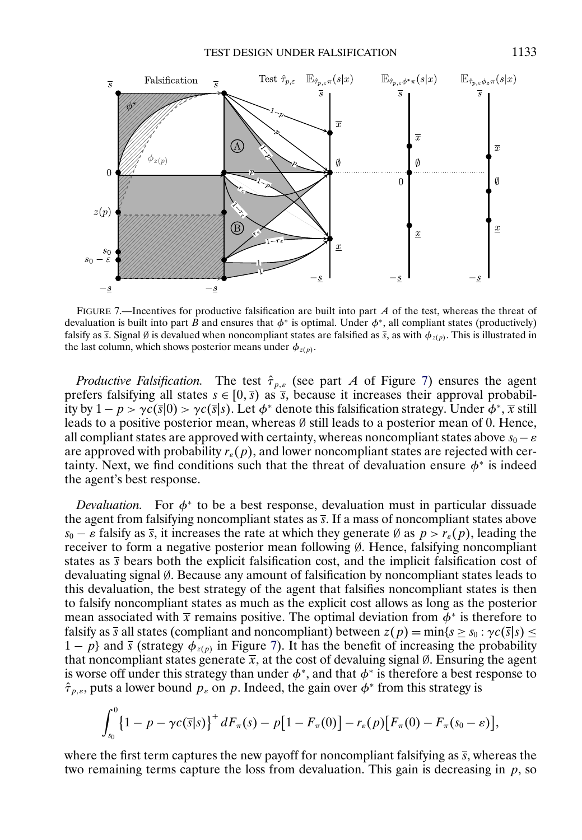<span id="page-24-0"></span>

FIGURE 7.—Incentives for productive falsification are built into part  $\vec{A}$  of the test, whereas the threat of devaluation is built into part B and ensures that  $\phi^*$  is optimal. Under  $\phi^*$ , all compliant states (productively) falsify as  $\bar{s}$ . Signal Ø is devalued when noncompliant states are falsified as  $\bar{s}$ , as with  $\phi_{z(p)}$ . This is illustrated in the last column, which shows posterior means under  $\phi_{z(p)}$ .

*Productive Falsification.* The test  $\hat{\tau}_{p,\varepsilon}$  (see part A of Figure 7) ensures the agent prefers falsifying all states  $s \in [0,\overline{s})$  as  $\overline{s}$ , because it increases their approval probability by  $1-p > \gamma c(\bar{s}|0) > \gamma c(\bar{s}|s)$ . Let  $\phi^*$  denote this falsification strategy. Under  $\phi^*, \bar{x}$  still leads to a positive posterior mean, whereas  $\emptyset$  still leads to a posterior mean of 0. Hence, all compliant states are approved with certainty, whereas noncompliant states above  $s_0 - \varepsilon$ are approved with probability  $r_{\varepsilon}(p)$ , and lower noncompliant states are rejected with certainty. Next, we find conditions such that the threat of devaluation ensure  $\phi^*$  is indeed the agent's best response.

*Devaluation.* For  $\phi^*$  to be a best response, devaluation must in particular dissuade the agent from falsifying noncompliant states as  $\overline{s}$ . If a mass of noncompliant states above  $s_0 - \varepsilon$  falsify as  $\bar{s}$ , it increases the rate at which they generate Ø as  $p > r_{\varepsilon}(p)$ , leading the receiver to form a negative posterior mean following ∅. Hence, falsifying noncompliant states as  $\bar{s}$  bears both the explicit falsification cost, and the implicit falsification cost of devaluating signal ∅. Because any amount of falsification by noncompliant states leads to this devaluation, the best strategy of the agent that falsifies noncompliant states is then to falsify noncompliant states as much as the explicit cost allows as long as the posterior mean associated with  $\bar{x}$  remains positive. The optimal deviation from  $\phi^*$  is therefore to falsify as  $\overline{s}$  all states (compliant and noncompliant) between  $z(p) = min\{s \ge s_0 : \gamma c(\overline{s}|s) \le$  $1 - p$ } and  $\bar{s}$  (strategy  $\phi_{z(p)}$  in Figure 7). It has the benefit of increasing the probability that noncompliant states generate  $\bar{x}$ , at the cost of devaluing signal  $\emptyset$ . Ensuring the agent is worse off under this strategy than under  $\phi^*$ , and that  $\phi^*$  is therefore a best response to  $\hat{\tau}_{p,\varepsilon}$ , puts a lower bound  $p_{\varepsilon}$  on p. Indeed, the gain over  $\phi^*$  from this strategy is

$$
\int_{s_0}^{0} \{1 - p - \gamma c(\overline{s}|s)\}^+ dF_\pi(s) - p[1 - F_\pi(0)] - r_{\varepsilon}(p)[F_\pi(0) - F_\pi(s_0 - \varepsilon)],
$$

where the first term captures the new payoff for noncompliant falsifying as  $\bar{s}$ , whereas the two remaining terms capture the loss from devaluation. This gain is decreasing in  $p$ , so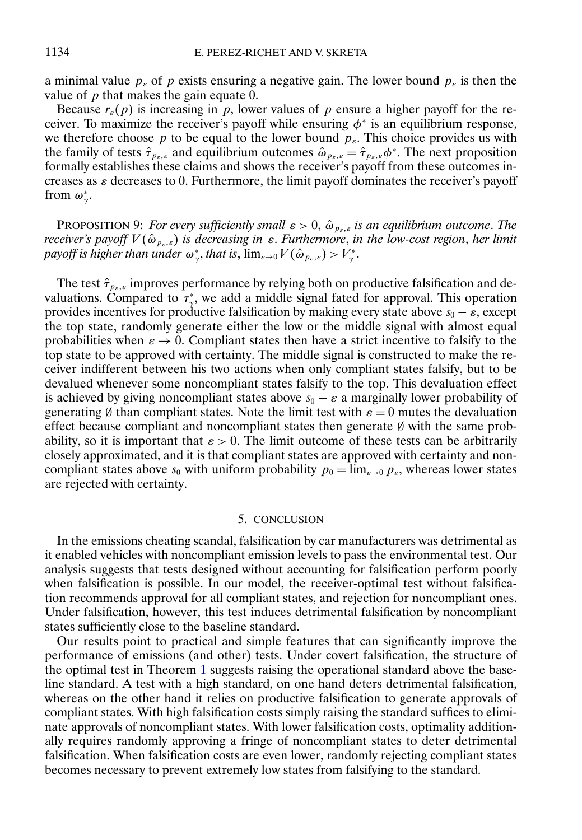<span id="page-25-0"></span>a minimal value  $p_{\varepsilon}$  of p exists ensuring a negative gain. The lower bound  $p_{\varepsilon}$  is then the value of  $p$  that makes the gain equate 0.

Because  $r_{\varepsilon}(p)$  is increasing in p, lower values of p ensure a higher payoff for the receiver. To maximize the receiver's payoff while ensuring  $\phi^*$  is an equilibrium response, we therefore choose p to be equal to the lower bound  $p_{\varepsilon}$ . This choice provides us with the family of tests  $\hat{\tau}_{p_{\varepsilon,\varepsilon}}$  and equilibrium outcomes  $\hat{\omega}_{p_{\varepsilon,\varepsilon}} = \hat{\tau}_{p_{\varepsilon,\varepsilon}} \phi^*$ . The next proposition formally establishes these claims and shows the receiver's payoff from these outcomes increases as  $\varepsilon$  decreases to 0. Furthermore, the limit payoff dominates the receiver's payoff from  $\omega^*_{\gamma}$ .

PROPOSITION 9: *For every sufficiently small*  $\varepsilon > 0$ ,  $\hat{\omega}_{p_{\varepsilon},\varepsilon}$  *is an equilibrium outcome. The receiver's payoff*  $V(\hat{\omega}_{p_{\varepsilon},\varepsilon})$  *is decreasing in*  $\varepsilon$ . *Furthermore*, *in the low-cost region*, *her limit* payoff is higher than under  $\omega_\gamma^*,$  that is,  $\lim_{\varepsilon\to 0}V(\hat\omega_{p_\varepsilon,\varepsilon})>V_\gamma^*.$ 

The test  $\hat{\tau}_{p_{\varepsilon},\varepsilon}$  improves performance by relying both on productive falsification and devaluations. Compared to  $\tau^*_{\gamma}$ , we add a middle signal fated for approval. This operation provides incentives for productive falsification by making every state above  $s_0 - \varepsilon$ , except the top state, randomly generate either the low or the middle signal with almost equal probabilities when  $\varepsilon \to 0$ . Compliant states then have a strict incentive to falsify to the top state to be approved with certainty. The middle signal is constructed to make the receiver indifferent between his two actions when only compliant states falsify, but to be devalued whenever some noncompliant states falsify to the top. This devaluation effect is achieved by giving noncompliant states above  $s_0 - \varepsilon$  a marginally lower probability of generating Ø than compliant states. Note the limit test with  $\varepsilon = 0$  mutes the devaluation effect because compliant and noncompliant states then generate ∅ with the same probability, so it is important that  $\varepsilon > 0$ . The limit outcome of these tests can be arbitrarily closely approximated, and it is that compliant states are approved with certainty and noncompliant states above  $s_0$  with uniform probability  $p_0 = \lim_{\varepsilon \to 0} p_{\varepsilon}$ , whereas lower states are rejected with certainty.

#### 5. CONCLUSION

In the emissions cheating scandal, falsification by car manufacturers was detrimental as it enabled vehicles with noncompliant emission levels to pass the environmental test. Our analysis suggests that tests designed without accounting for falsification perform poorly when falsification is possible. In our model, the receiver-optimal test without falsification recommends approval for all compliant states, and rejection for noncompliant ones. Under falsification, however, this test induces detrimental falsification by noncompliant states sufficiently close to the baseline standard.

Our results point to practical and simple features that can significantly improve the performance of emissions (and other) tests. Under covert falsification, the structure of the optimal test in Theorem [1](#page-10-0) suggests raising the operational standard above the baseline standard. A test with a high standard, on one hand deters detrimental falsification, whereas on the other hand it relies on productive falsification to generate approvals of compliant states. With high falsification costs simply raising the standard suffices to eliminate approvals of noncompliant states. With lower falsification costs, optimality additionally requires randomly approving a fringe of noncompliant states to deter detrimental falsification. When falsification costs are even lower, randomly rejecting compliant states becomes necessary to prevent extremely low states from falsifying to the standard.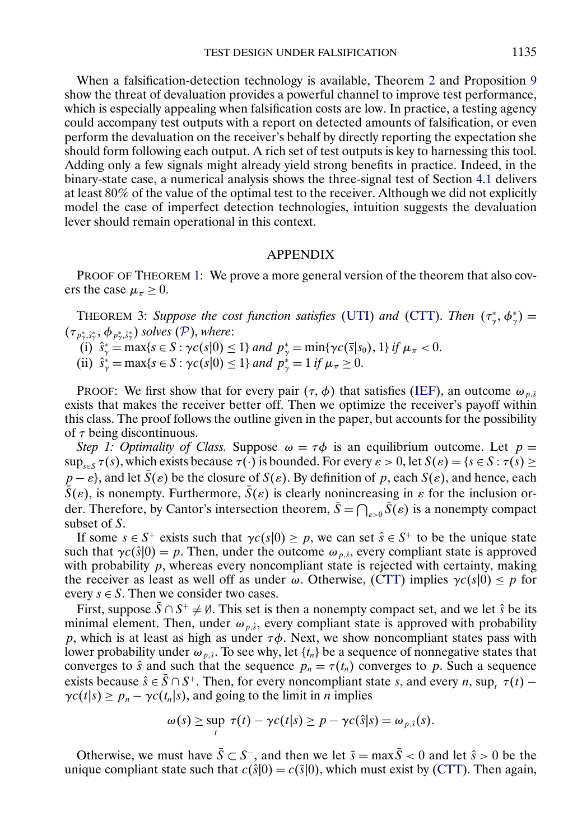<span id="page-26-0"></span>When a falsification-detection technology is available, Theorem [2](#page-21-0) and Proposition [9](#page-25-0) show the threat of devaluation provides a powerful channel to improve test performance, which is especially appealing when falsification costs are low. In practice, a testing agency could accompany test outputs with a report on detected amounts of falsification, or even perform the devaluation on the receiver's behalf by directly reporting the expectation she should form following each output. A rich set of test outputs is key to harnessing this tool. Adding only a few signals might already yield strong benefits in practice. Indeed, in the binary-state case, a numerical analysis shows the three-signal test of Section [4.1](#page-16-0) delivers at least 80% of the value of the optimal test to the receiver. Although we did not explicitly model the case of imperfect detection technologies, intuition suggests the devaluation lever should remain operational in this context.

#### APPENDIX

PROOF OF THEOREM [1:](#page-10-0) We prove a more general version of the theorem that also covers the case  $\mu_{\pi} \geq 0$ .

**THEOREM 3:** Suppose the cost function satisfies [\(UTI\)](#page-6-0) and [\(CTT\)](#page-6-0). Then  $(\tau^*, \phi^*_\gamma)$  =  $(\tau_{p_\gamma^*,\hat{s}_\gamma^*},\phi_{p_\gamma^*,\hat{s}_\gamma^*})$  solves ([P](#page-8-0)), where:

- (i)  $\hat{s}^*_{\gamma} = \max\{s \in S : \gamma c(s|0) \leq 1\}$  *and*  $p^*_{\gamma} = \min\{\gamma c(\bar{s}|s_0), 1\}$  *if*  $\mu_{\pi} < 0$ .
- (ii)  $\hat{s}^*_{\gamma} = \max\{s \in S : \gamma c(s|0) \leq 1\}$  *and*  $p^*_{\gamma} = 1$  *if*  $\mu_{\pi} \geq 0$ .

PROOF: We first show that for every pair  $(\tau, \phi)$  that satisfies [\(IEF\)](#page-8-0), an outcome  $\omega_{p,\hat{s}}$ exists that makes the receiver better off. Then we optimize the receiver's payoff within this class. The proof follows the outline given in the paper, but accounts for the possibility of  $\tau$  being discontinuous.

*Step 1: Optimality of Class.* Suppose  $\omega = \tau \phi$  is an equilibrium outcome. Let  $p =$  $\sup_{s\in S} \tau(s)$ , which exists because  $\tau(\cdot)$  is bounded. For every  $\varepsilon > 0$ , let  $S(\varepsilon) = \{s \in S : \tau(s) \geq 0\}$  $p - \varepsilon$ , and let  $S(\varepsilon)$  be the closure of  $S(\varepsilon)$ . By definition of p, each  $S(\varepsilon)$ , and hence, each  $S(\varepsilon)$ , is nonempty. Furthermore,  $S(\varepsilon)$  is clearly nonincreasing in  $\varepsilon$  for the inclusion order. Therefore, by Cantor's intersection theorem,  $S = \bigcap_{\varepsilon > 0} S(\varepsilon)$  is a nonempty compact subset of S.

If some  $s \in S^+$  exists such that  $\gamma c(s|0) \geq p$ , we can set  $\hat{s} \in S^+$  to be the unique state such that  $\gamma c(\hat{s} | 0) = p$ . Then, under the outcome  $\omega_{p,\hat{s}}$ , every compliant state is approved with probability  $p$ , whereas every noncompliant state is rejected with certainty, making the receiver as least as well off as under  $\omega$ . Otherwise, [\(CTT\)](#page-6-0) implies  $\gamma c(s|0) \leq p$  for every  $s \in S$ . Then we consider two cases.

First, suppose  $\bar{S} \cap S^+ \neq \emptyset$ . This set is then a nonempty compact set, and we let  $\hat{s}$  be its minimal element. Then, under  $\omega_{p,\hat{s}}$ , every compliant state is approved with probability p, which is at least as high as under  $\tau\phi$ . Next, we show noncompliant states pass with lower probability under  $\omega_{p,\hat{s}}$ . To see why, let  $\{t_n\}$  be a sequence of nonnegative states that converges to  $\hat{s}$  and such that the sequence  $p_n = \tau(t_n)$  converges to p. Such a sequence exists because  $\hat{s} \in S \cap S^+$ . Then, for every noncompliant state s, and every n, sup,  $\tau(t)$  –  $\gamma c(t|s) \ge p_n - \gamma c(t_n|s)$ , and going to the limit in *n* implies

$$
\omega(s) \geq \sup_t \tau(t) - \gamma c(t|s) \geq p - \gamma c(\hat{s}|s) = \omega_{p,\hat{s}}(s).
$$

Otherwise, we must have  $\bar{S} \subset S^-$ , and then we let  $\tilde{s} = \max \bar{S} < 0$  and let  $\hat{s} > 0$  be the unique compliant state such that  $c(\hat{s}|0) = c(\hat{s}|0)$ , which must exist by [\(CTT\)](#page-6-0). Then again,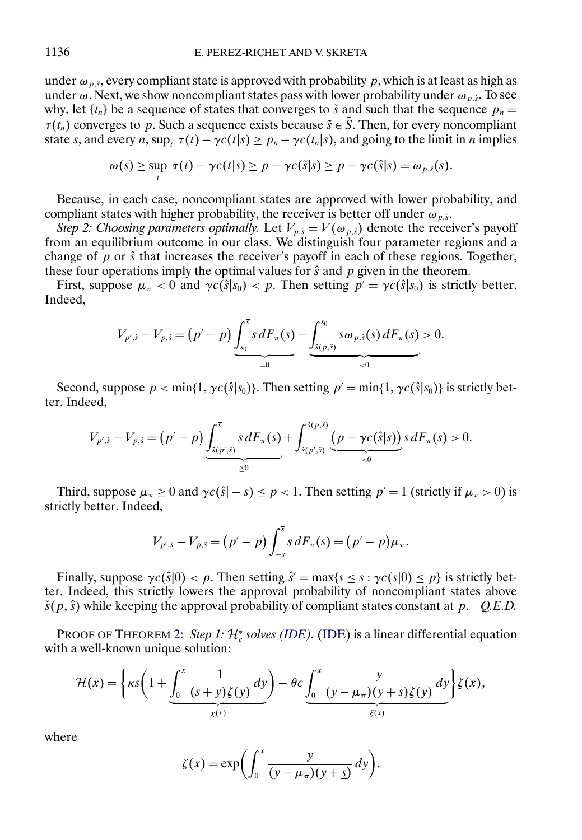under  $\omega_{p,\hat{s}}$ , every compliant state is approved with probability p, which is at least as high as under  $\omega$ . Next, we show noncompliant states pass with lower probability under  $\omega_{p,\hat{s}}$ . To see why, let  $\{t_n\}$  be a sequence of states that converges to  $\tilde{s}$  and such that the sequence  $p_n =$  $\tau(t_n)$  converges to p. Such a sequence exists because  $\tilde{s} \in \overline{S}$ . Then, for every noncompliant state s, and every n, sup<sub>t</sub>  $\tau(t) - \gamma c(t|s) \ge p_n - \gamma c(t_n|s)$ , and going to the limit in n implies

$$
\omega(s) \geq \sup_{t} \tau(t) - \gamma c(t|s) \geq p - \gamma c(\tilde{s}|s) \geq p - \gamma c(\hat{s}|s) = \omega_{p,\tilde{s}}(s).
$$

Because, in each case, noncompliant states are approved with lower probability, and compliant states with higher probability, the receiver is better off under  $\omega_{p,\hat{s}}$ .

*Step 2: Choosing parameters optimally.* Let  $V_{p,\hat{s}} = V(\omega_{p,\hat{s}})$  denote the receiver's payoff from an equilibrium outcome in our class. We distinguish four parameter regions and a change of  $\bar{p}$  or  $\hat{s}$  that increases the receiver's payoff in each of these regions. Together, these four operations imply the optimal values for  $\hat{s}$  and  $p$  given in the theorem.

First, suppose  $\mu_{\pi} < 0$  and  $\gamma c(\hat{s}|s_0) < p$ . Then setting  $p' = \gamma c(\hat{s}|s_0)$  is strictly better. Indeed,

$$
V_{p',\hat{s}}-V_{p,\hat{s}} = (p'-p)\underbrace{\int_{s_0}^{\bar{s}} s dF_{\pi}(s)}_{=0} - \underbrace{\int_{\tilde{s}(p,\hat{s})}^{s_0} s \omega_{p,\hat{s}}(s) dF_{\pi}(s)}_{<0} > 0.
$$

Second, suppose  $p < \min\{1, \gamma c(\hat{s} | s_0)\}\)$ . Then setting  $p' = \min\{1, \gamma c(\hat{s} | s_0)\}\)$  is strictly better. Indeed,

$$
V_{p',\hat{s}}-V_{p,\hat{s}}=\left(p'-p\right)\underbrace{\int_{\check{s}(p',\hat{s})}^{\bar{s}}s\,dF_{\pi}(s)}_{\geq 0}+\underbrace{\int_{\check{s}(p',\hat{s})}^{\check{s}(p,\hat{s})}\underbrace{\left(p-\gamma c(\hat{s}|s)\right)}_{\lt 0}s\,dF_{\pi}(s)}>0.
$$

Third, suppose  $\mu_{\pi} \ge 0$  and  $\gamma c(\hat{s} - s) \le p < 1$ . Then setting  $p' = 1$  (strictly if  $\mu_{\pi} > 0$ ) is strictly better. Indeed,

$$
V_{p',\hat{s}}-V_{p,\hat{s}}=(p'-p)\int_{-\underline{s}}^{\overline{s}} s\,dF_{\pi}(s)=(p'-p)\mu_{\pi}.
$$

Finally, suppose  $\gamma c(\hat{s} | 0) < p$ . Then setting  $\hat{s}' = \max\{s \leq \bar{s} : \gamma c(s|0) \leq p\}$  is strictly better. Indeed, this strictly lowers the approval probability of noncompliant states above  $\check{s}(p, \hat{s})$  while keeping the approval probability of compliant states constant at p. *Q.E.D.* 

PROOF OF THEOREM [2:](#page-21-0) *Step 1:*  $\mathcal{H}^*_{\underline{c}}$  *solves [\(IDE\)](#page-20-0)*. (IDE) is a linear differential equation with a well-known unique solution:

$$
\mathcal{H}(x) = \left\{ \kappa \underline{s} \left( 1 + \underbrace{\int_0^x \frac{1}{(\underline{s} + \underline{y}) \zeta(\underline{y})} \, d\underline{y}}_{\chi(x)} \right) - \theta \underline{c} \underbrace{\int_0^x \frac{\underline{y}}{(\underline{y} - \mu_\pi)(\underline{y} + \underline{s}) \zeta(\underline{y})} \, d\underline{y}}_{\xi(x)} \right\} \zeta(x),
$$

where

$$
\zeta(x) = \exp\biggl(\int_0^x \frac{y}{(y - \mu_\pi)(y + \underline{s})} \, dy\biggr).
$$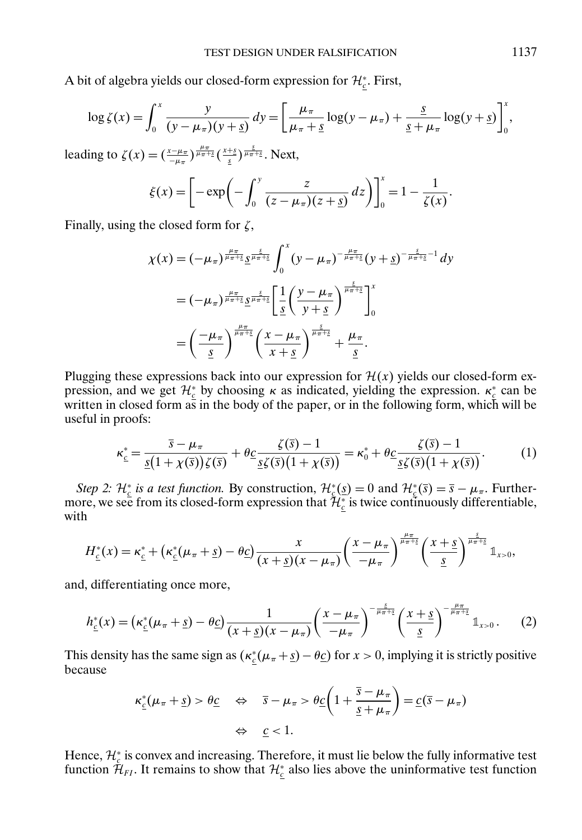A bit of algebra yields our closed-form expression for  $\mathcal{H}_{\underline{c}}^*$ . First,

$$
\log \zeta(x) = \int_0^x \frac{y}{(y - \mu_\pi)(y + \underline{s})} dy = \left[ \frac{\mu_\pi}{\mu_\pi + \underline{s}} \log(y - \mu_\pi) + \frac{\underline{s}}{\underline{s} + \mu_\pi} \log(y + \underline{s}) \right]_0^x,
$$

leading to  $\zeta(x) = \left(\frac{x-\mu\pi}{-\mu\pi}\right)^{\frac{\mu\pi}{\mu\pi+\underline{s}}} \left(\frac{x+\underline{s}}{\underline{s}}\right)^{\frac{\underline{s}}{\mu\pi+\underline{s}}}$ . Next,

$$
\xi(x) = \left[ -\exp\left(-\int_0^y \frac{z}{(z-\mu_\pi)(z+\underline{s})} dz\right) \right]_0^x = 1 - \frac{1}{\zeta(x)}.
$$

Finally, using the closed form for  $\zeta$ ,

$$
\chi(x) = (-\mu_{\pi})^{\frac{\mu_{\pi}}{\mu_{\pi}+\underline{s}}} \frac{\sigma^{\frac{s}{\mu_{\pi}+\underline{s}}}}{\sigma^{\frac{s}{\mu_{\pi}+\underline{s}}}} \int_0^x (y - \mu_{\pi})^{-\frac{\mu_{\pi}}{\mu_{\pi}+\underline{s}}} (y + \underline{s})^{-\frac{s}{\mu_{\pi}+\underline{s}}-1} dy
$$
  

$$
= (-\mu_{\pi})^{\frac{\mu_{\pi}}{\mu_{\pi}+\underline{s}}} \frac{\sigma^{\frac{s}{\mu_{\pi}+\underline{s}}}}{\sigma^{\frac{s}{\mu_{\pi}+\underline{s}}}} \left[ \frac{1}{s} \left( \frac{y - \mu_{\pi}}{y + \underline{s}} \right)^{\frac{s}{\mu_{\pi}+\underline{s}}} \right]_0^x
$$
  

$$
= \left( \frac{-\mu_{\pi}}{\underline{s}} \right)^{\frac{\mu_{\pi}}{\mu_{\pi}+\underline{s}}} \left( \frac{x - \mu_{\pi}}{x + \underline{s}} \right)^{\frac{s}{\mu_{\pi}+\underline{s}}} + \frac{\mu_{\pi}}{\underline{s}}.
$$

Plugging these expressions back into our expression for  $\mathcal{H}(x)$  yields our closed-form expression, and we get  $\mathcal{H}_{c}^{*}$  by choosing  $\kappa$  as indicated, yielding the expression.  $\kappa_{c}^{*}$  can be written in closed form  $a\bar{s}$  in the body of the paper, or in the following form, which will be useful in proofs:

$$
\kappa_{\underline{\varepsilon}}^{*} = \frac{\overline{s} - \mu_{\pi}}{\underline{s}(1 + \chi(\overline{s}))\zeta(\overline{s})} + \theta_{\underline{C}} \frac{\zeta(\overline{s}) - 1}{\underline{s}\zeta(\overline{s})(1 + \chi(\overline{s}))} = \kappa_{0}^{*} + \theta_{\underline{C}} \frac{\zeta(\overline{s}) - 1}{\underline{s}\zeta(\overline{s})(1 + \chi(\overline{s}))}.
$$
(1)

*Step 2:*  $\mathcal{H}_{\underline{c}}^*$  *is a test function.* By construction,  $\mathcal{H}_{\underline{c}}^*(\underline{s}) = 0$  and  $\mathcal{H}_{\underline{c}}^*(\overline{s}) = \overline{s} - \mu_{\pi}$ . Furthermore, we see from its closed-form expression that  $\bar{\mathcal{H}}_{\underline{c}}^*$  is twice continuously differentiable, with

$$
H_{\underline{c}}^*(x) = \kappa_{\underline{c}}^* + \left(\kappa_{\underline{c}}^*(\mu_{\pi} + \underline{s}) - \theta \underline{c}\right) \frac{x}{(x + \underline{s})(x - \mu_{\pi})} \left(\frac{x - \mu_{\pi}}{-\mu_{\pi}}\right)^{\frac{\mu_{\pi}}{\mu_{\pi} + \underline{s}}} \left(\frac{x + \underline{s}}{\underline{s}}\right)^{\frac{\underline{s}}{\mu_{\pi} + \underline{s}}}\mathbb{1}_{x > 0},
$$

and, differentiating once more,

$$
h_{\underline{\varepsilon}}^*(x) = \left(\kappa_{\underline{\varepsilon}}^*(\mu_{\pi} + \underline{s}) - \theta \underline{c}\right) \frac{1}{(x + \underline{s})(x - \mu_{\pi})} \left(\frac{x - \mu_{\pi}}{-\mu_{\pi}}\right)^{-\frac{s}{\mu_{\pi} + \underline{s}}} \left(\frac{x + \underline{s}}{\underline{s}}\right)^{-\frac{\mu_{\pi}}{\mu_{\pi} + \underline{s}}}\mathbb{1}_{x > 0}.
$$
 (2)

This density has the same sign as  $(\kappa_{\frac{c}{2}}(\mu_{\pi} + s) - \theta_{\frac{c}{2}})$  for  $x > 0$ , implying it is strictly positive because

$$
\kappa_{\underline{c}}^*(\mu_{\pi} + \underline{s}) > \theta_{\underline{C}} \quad \Leftrightarrow \quad \overline{s} - \mu_{\pi} > \theta_{\underline{C}} \bigg( 1 + \frac{\overline{s} - \mu_{\pi}}{\underline{s} + \mu_{\pi}} \bigg) = \underline{c}(\overline{s} - \mu_{\pi})
$$

$$
\Leftrightarrow \quad \underline{c} < 1.
$$

Hence,  $\mathcal{H}_c^*$  is convex and increasing. Therefore, it must lie below the fully informative test function  $\bar{\mathcal{H}}_{FI}$ . It remains to show that  $\mathcal{H}_{\underline{c}}^*$  also lies above the uninformative test function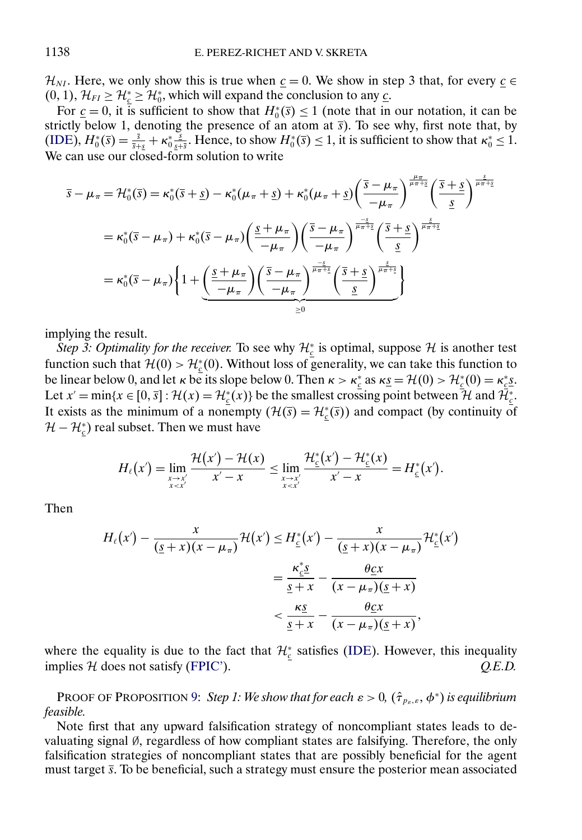$\mathcal{H}_{NI}$ . Here, we only show this is true when  $\underline{c} = 0$ . We show in step 3 that, for every  $\underline{c} \in \mathcal{H}_{II}$  $(0, 1)$ ,  $\mathcal{H}_{FI} \geq \mathcal{H}_{c}^{*} \geq \mathcal{H}_{0}^{*}$ , which will expand the conclusion to any <u>c</u>.

For  $\underline{c} = 0$ , it is sufficient to show that  $H_0^*(\overline{s}) \le 1$  (note that in our notation, it can be strictly below 1, denoting the presence of an atom at  $\bar{s}$ ). To see why, first note that, by  $(IDE)$ ,  $H_0^*(\overline{s}) = \frac{\overline{s}}{\overline{s} + \overline{s}} + \kappa_0^* \frac{\overline{s}}{\underline{s} + \overline{s}}$ . Hence, to show  $H_0^*(\overline{s}) \le 1$ , it is sufficient to show that  $\kappa_0^* \le 1$ . We can use our closed-form solution to write

$$
\overline{s} - \mu_{\pi} = \mathcal{H}_{0}^{*}(\overline{s}) = \kappa_{0}^{*}(\overline{s} + \underline{s}) - \kappa_{0}^{*}(\mu_{\pi} + \underline{s}) + \kappa_{0}^{*}(\mu_{\pi} + \underline{s}) \left(\frac{\overline{s} - \mu_{\pi}}{-\mu_{\pi}}\right)^{\frac{\mu_{\pi}}{\mu_{\pi} + \underline{s}}} \left(\frac{\overline{s} + \underline{s}}{\underline{s}}\right)^{\frac{\underline{s}}{\mu_{\pi} + \underline{s}}}
$$
\n
$$
= \kappa_{0}^{*}(\overline{s} - \mu_{\pi}) + \kappa_{0}^{*}(\overline{s} - \mu_{\pi}) \left(\frac{\underline{s} + \mu_{\pi}}{-\mu_{\pi}}\right) \left(\frac{\overline{s} - \mu_{\pi}}{-\mu_{\pi}}\right)^{\frac{-\underline{s}}{\mu_{\pi} + \underline{s}}} \left(\frac{\overline{s} + \underline{s}}{\underline{s}}\right)^{\frac{\underline{s}}{\mu_{\pi} + \underline{s}}}
$$
\n
$$
= \kappa_{0}^{*}(\overline{s} - \mu_{\pi}) \left\{ 1 + \underbrace{\left(\frac{\underline{s} + \mu_{\pi}}{-\mu_{\pi}}\right) \left(\frac{\overline{s} - \mu_{\pi}}{-\mu_{\pi}}\right)^{\frac{-\underline{s}}{\mu_{\pi} + \underline{s}}} \left(\frac{\overline{s} + \underline{s}}{\underline{s}}\right)^{\frac{\underline{s}}{\mu_{\pi} + \underline{s}}} \right\}
$$

implying the result.

*Step 3: Optimality for the receiver.* To see why  $\mathcal{H}_{\underline{c}}^*$  is optimal, suppose  $\mathcal H$  is another test function such that  $\mathcal{H}(0) > \mathcal{H}_{c}^{*}(0)$ . Without loss of generality, we can take this function to be linear below 0, and let  $\kappa$  be its slope below 0. Then  $\kappa > \kappa_{c}^{*}$  as  $\kappa_{S} = \mathcal{H}(0) > \mathcal{H}_{c}^{*}(0) = \kappa_{c}^{*}S$ . Let  $x' = \min\{x \in [0, \overline{s}] : \mathcal{H}(x) = \mathcal{H}_{\underline{c}}^*(x)\}\$  be the smallest crossing point between  $\mathcal{H}$  and  $\mathcal{H}_{\underline{c}}^*$ . It exists as the minimum of a nonempty  $(H(\overline{s}) = H_{\underline{c}}^*(\overline{s}))$  and compact (by continuity of  $\mathcal{H}-\mathcal{H}_{\underline{c}}^*$ ) real subset. Then we must have

$$
H_{\ell}(x') = \lim_{\substack{x \to x' \\ x < x'}} \frac{\mathcal{H}(x') - \mathcal{H}(x)}{x' - x} \leq \lim_{\substack{x \to x' \\ x < x'}} \frac{\mathcal{H}_{\underline{c}}^*(x') - \mathcal{H}_{\underline{c}}^*(x)}{x' - x} = H_{\underline{c}}^*(x').
$$

Then

$$
H_{\ell}(x') - \frac{x}{(\underline{s}+x)(x-\mu_{\pi})} \mathcal{H}(x') \leq H_{\underline{\varepsilon}}^{*}(x') - \frac{x}{(\underline{s}+x)(x-\mu_{\pi})} \mathcal{H}_{\underline{\varepsilon}}^{*}(x')
$$
  

$$
= \frac{\kappa_{\underline{\varepsilon}}^{*} s}{\underline{s}+x} - \frac{\theta_{\underline{C}} x}{(x-\mu_{\pi})(\underline{s}+x)}
$$
  

$$
< \frac{\kappa_{\underline{S}}}{\underline{s}+x} - \frac{\theta_{\underline{C}} x}{(x-\mu_{\pi})(\underline{s}+x)},
$$

where the equality is due to the fact that  $\mathcal{H}_{c}^{*}$  satisfies [\(IDE\)](#page-20-0). However, this inequality implies H does not satisfy [\(FPIC'\)](#page-20-0). *Q.E.D.*

PROOF OF PROPOSITION [9:](#page-25-0) *Step 1: We show that for each*  $\varepsilon > 0$ ,  $(\hat{\tau}_{p_{\varepsilon},\varepsilon},\phi^*)$  *is equilibrium feasible.*

Note first that any upward falsification strategy of noncompliant states leads to devaluating signal ∅, regardless of how compliant states are falsifying. Therefore, the only falsification strategies of noncompliant states that are possibly beneficial for the agent must target  $\bar{s}$ . To be beneficial, such a strategy must ensure the posterior mean associated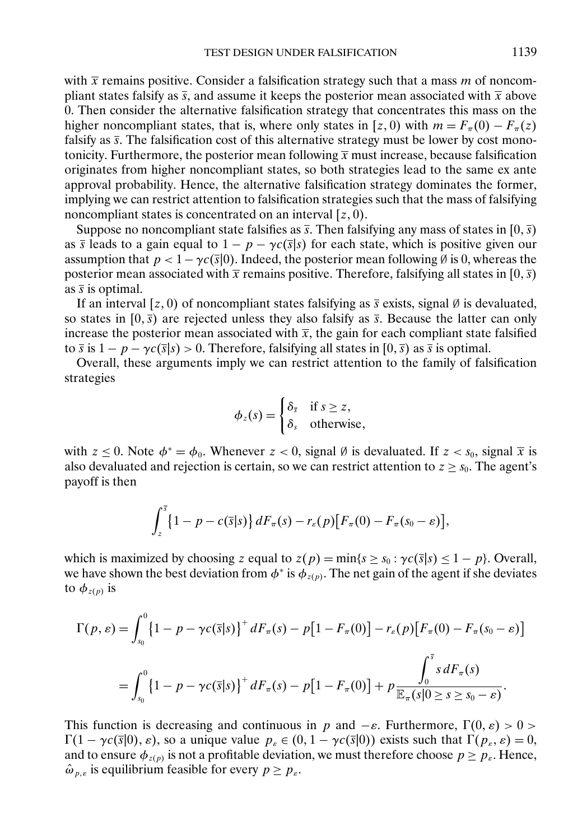with  $\bar{x}$  remains positive. Consider a falsification strategy such that a mass m of noncompliant states falsify as  $\bar{s}$ , and assume it keeps the posterior mean associated with  $\bar{x}$  above 0. Then consider the alternative falsification strategy that concentrates this mass on the higher noncompliant states, that is, where only states in [z, 0) with  $m = F_\pi(0) - F_\pi(z)$ falsify as  $\overline{s}$ . The falsification cost of this alternative strategy must be lower by cost monotonicity. Furthermore, the posterior mean following  $\bar{x}$  must increase, because falsification originates from higher noncompliant states, so both strategies lead to the same ex ante approval probability. Hence, the alternative falsification strategy dominates the former, implying we can restrict attention to falsification strategies such that the mass of falsifying noncompliant states is concentrated on an interval  $[z, 0)$ .

Suppose no noncompliant state falsifies as  $\bar{s}$ . Then falsifying any mass of states in [0,  $\bar{s}$ ) as  $\overline{s}$  leads to a gain equal to  $1 - p - \gamma c(\overline{s}|s)$  for each state, which is positive given our assumption that  $p < 1 - \gamma c(\bar{s}|0)$ . Indeed, the posterior mean following Ø is 0, whereas the posterior mean associated with  $\bar{x}$  remains positive. Therefore, falsifying all states in [0,  $\bar{s}$ ) as  $\overline{s}$  is optimal.

If an interval [z, 0) of noncompliant states falsifying as  $\bar{s}$  exists, signal Ø is devaluated, so states in  $[0, \bar{s})$  are rejected unless they also falsify as  $\bar{s}$ . Because the latter can only increase the posterior mean associated with  $\bar{x}$ , the gain for each compliant state falsified to  $\overline{s}$  is  $1 - p - \gamma c(\overline{s}|s) > 0$ . Therefore, falsifying all states in  $[0, \overline{s})$  as  $\overline{s}$  is optimal.

Overall, these arguments imply we can restrict attention to the family of falsification strategies

$$
\phi_z(s) = \begin{cases} \delta_{\overline{s}} & \text{if } s \geq z, \\ \delta_s & \text{otherwise,} \end{cases}
$$

with  $z \le 0$ . Note  $\phi^* = \phi_0$ . Whenever  $z < 0$ , signal Ø is devaluated. If  $z < s_0$ , signal  $\overline{x}$  is also devaluated and rejection is certain, so we can restrict attention to  $z \geq s_0$ . The agent's payoff is then

$$
\int_{z}^{\overline{s}}\left\{1-p-c(\overline{s}|s)\right\}dF_{\pi}(s)-r_{\varepsilon}(p)\big[F_{\pi}(0)-F_{\pi}(s_0-\varepsilon)\big],
$$

which is maximized by choosing z equal to  $z(p) = min\{s \ge s_0 : \gamma c(\overline{s}|s) \le 1 - p\}$ . Overall, we have shown the best deviation from  $\phi^*$  is  $\phi_{z(p)}$ . The net gain of the agent if she deviates to  $\phi_{z(p)}$  is

$$
\Gamma(p, \varepsilon) = \int_{s_0}^0 \{1 - p - \gamma c(\overline{s}|s)\}^+ dF_\pi(s) - p[1 - F_\pi(0)] - r_\varepsilon(p)[F_\pi(0) - F_\pi(s_0 - \varepsilon)]
$$
  
= 
$$
\int_{s_0}^0 \{1 - p - \gamma c(\overline{s}|s)\}^+ dF_\pi(s) - p[1 - F_\pi(0)] + p \frac{\int_0^{\overline{s}} s dF_\pi(s)}{\mathbb{E}_\pi(s(0) \ge s \ge s_0 - \varepsilon)}.
$$

This function is decreasing and continuous in p and  $-\varepsilon$ . Furthermore,  $\Gamma(0, \varepsilon) > 0$  $\Gamma(1 - \gamma c(\bar{s}|0), \varepsilon)$ , so a unique value  $p_{\varepsilon} \in (0, 1 - \gamma c(\bar{s}|0))$  exists such that  $\Gamma(p_{\varepsilon}, \varepsilon) = 0$ , and to ensure  $\phi_{z(p)}$  is not a profitable deviation, we must therefore choose  $p \geq p_{\varepsilon}$ . Hence,  $\hat{\omega}_{p,\varepsilon}$  is equilibrium feasible for every  $p \geq p_{\varepsilon}$ .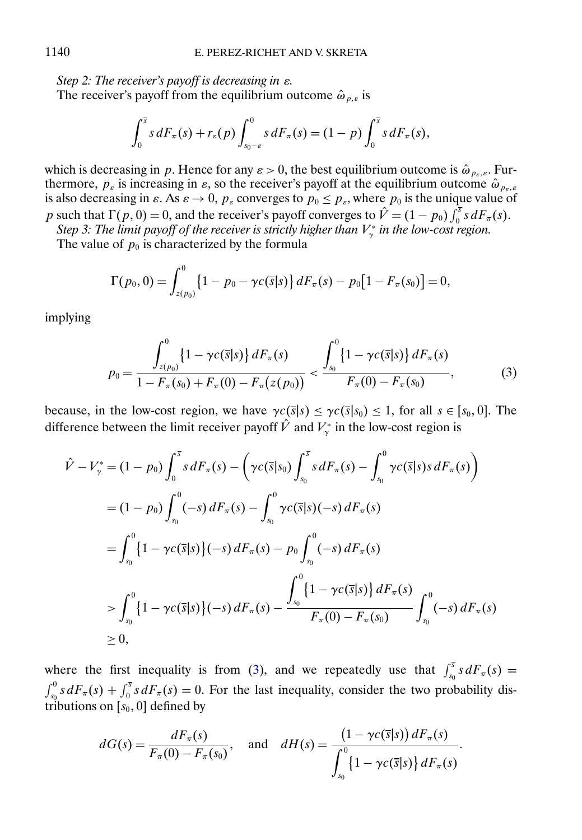*Step 2: The receiver's payoff is decreasing in* ε*.*

The receiver's payoff from the equilibrium outcome  $\hat{\omega}_{p,\varepsilon}$  is

$$
\int_0^{\overline{s}} s dF_\pi(s) + r_\varepsilon(p) \int_{s_0-\varepsilon}^0 s dF_\pi(s) = (1-p) \int_0^{\overline{s}} s dF_\pi(s),
$$

which is decreasing in p. Hence for any  $\varepsilon > 0$ , the best equilibrium outcome is  $\hat{\omega}_{p_{\varepsilon},\varepsilon}$ . Furthermore,  $p_{\varepsilon}$  is increasing in  $\varepsilon$ , so the receiver's payoff at the equilibrium outcome  $\hat{\omega}_{p_{\varepsilon},\varepsilon}$ is also decreasing in  $\varepsilon$ . As  $\varepsilon \to 0$ ,  $p_{\varepsilon}$  converges to  $p_0 \leq p_{\varepsilon}$ , where  $p_0$  is the unique value of p such that  $\Gamma(p, 0) = 0$ , and the receiver's payoff converges to  $\hat{V} = (1 - p_0) \int_0^5 s dF_\pi(s)$ .

Step 3: The limit payoff of the receiver is strictly higher than  $V_\gamma^*$  in the low-cost region.

The value of  $p_0$  is characterized by the formula

$$
\Gamma(p_0, 0) = \int_{z(p_0)}^0 \left\{1 - p_0 - \gamma c(\overline{s}|s)\right\} dF_\pi(s) - p_0\big[1 - F_\pi(s_0)\big] = 0,
$$

implying

$$
p_0 = \frac{\int_{z(p_0)}^0 \left\{1 - \gamma c(\overline{s}|s)\right\} dF_\pi(s)}{1 - F_\pi(s_0) + F_\pi(0) - F_\pi(z(p_0))} < \frac{\int_{s_0}^0 \left\{1 - \gamma c(\overline{s}|s)\right\} dF_\pi(s)}{F_\pi(0) - F_\pi(s_0)},\tag{3}
$$

because, in the low-cost region, we have  $\gamma c(\bar{s}|s) \leq \gamma c(\bar{s}|s_0) \leq 1$ , for all  $s \in [s_0, 0]$ . The difference between the limit receiver payoff V and  $V_{\gamma}^*$  in the low-cost region is

$$
\hat{V} - V_{\gamma}^{*} = (1 - p_{0}) \int_{0}^{\overline{s}} s dF_{\pi}(s) - \left( \gamma c(\overline{s}|s_{0}) \int_{s_{0}}^{\overline{s}} s dF_{\pi}(s) - \int_{s_{0}}^{0} \gamma c(\overline{s}|s) s dF_{\pi}(s) \right)
$$
\n
$$
= (1 - p_{0}) \int_{s_{0}}^{0} (-s) dF_{\pi}(s) - \int_{s_{0}}^{0} \gamma c(\overline{s}|s) (-s) dF_{\pi}(s)
$$
\n
$$
= \int_{s_{0}}^{0} \left\{ 1 - \gamma c(\overline{s}|s) \right\} (-s) dF_{\pi}(s) - p_{0} \int_{s_{0}}^{0} (-s) dF_{\pi}(s)
$$
\n
$$
> \int_{s_{0}}^{0} \left\{ 1 - \gamma c(\overline{s}|s) \right\} (-s) dF_{\pi}(s) - \frac{\int_{s_{0}}^{0} \left\{ 1 - \gamma c(\overline{s}|s) \right\} dF_{\pi}(s)}{F_{\pi}(0) - F_{\pi}(s_{0})} \int_{s_{0}}^{0} (-s) dF_{\pi}(s)
$$
\n
$$
\geq 0,
$$

where the first inequality is from (3), and we repeatedly use that  $\int_{s_0}^{\overline{s}} s dF_\pi(s) =$  $\int_{s_0}^0 s dF_\pi(s) + \int_0^s s dF_\pi(s) = 0$ . For the last inequality, consider the two probability distributions on  $[s_0, 0]$  defined by

$$
dG(s) = \frac{dF_{\pi}(s)}{F_{\pi}(0) - F_{\pi}(s_0)}, \text{ and } dH(s) = \frac{(1 - \gamma c(\bar{s}|s)) dF_{\pi}(s)}{\int_{s_0}^{0} \{1 - \gamma c(\bar{s}|s)\} dF_{\pi}(s)}.
$$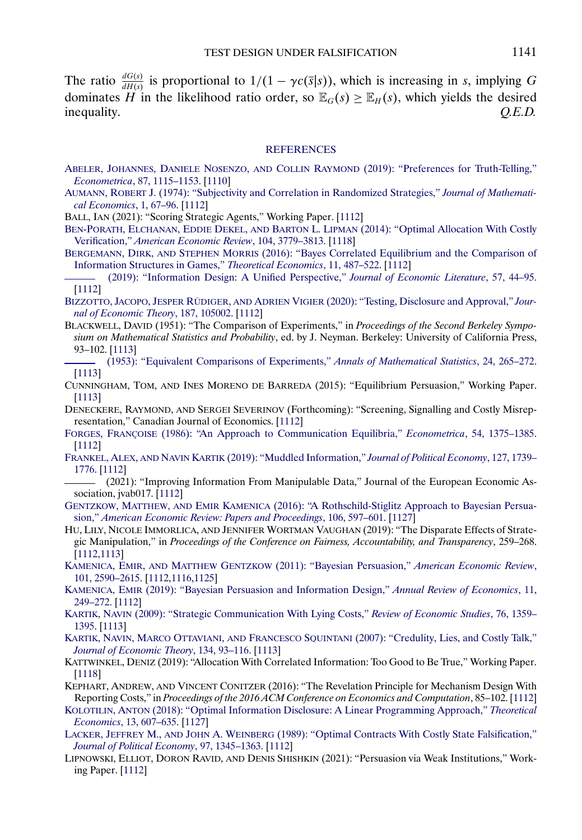<span id="page-32-0"></span>The ratio  $\frac{dG(s)}{dH(s)}$  is proportional to  $1/(1 - \gamma c(\bar{s}|s))$ , which is increasing in s, implying G dominates H in the likelihood ratio order, so  $\mathbb{E}_G(s) \geq \mathbb{E}_H(s)$ , which yields the desired inequality. *Q.E.D.* inequality.

#### **[REFERENCES](http://www.e-publications.org/srv/ecta/linkserver/setprefs?rfe_id=urn:sici%2F0012-9682%282022%2990%3A3%3C1109%3ATDUF%3E2.0.CO%3B2-F)**

- ABELER, JOHANNES, DANIELE NOSENZO, AND COLLIN RAYMOND [\(2019\): "Preferences for Truth-Telling,"](http://www.e-publications.org/srv/ecta/linkserver/openurl?rft_dat=bib:1/abeler2019preferences&rfe_id=urn:sici%2F0012-9682%282022%2990%3A3%3C1109%3ATDUF%3E2.0.CO%3B2-F) *Econometrica*[, 87, 1115–1153.](http://www.e-publications.org/srv/ecta/linkserver/openurl?rft_dat=bib:1/abeler2019preferences&rfe_id=urn:sici%2F0012-9682%282022%2990%3A3%3C1109%3ATDUF%3E2.0.CO%3B2-F) [\[1110\]](#page-1-0)
- AUMANN, ROBERT [J. \(1974\): "Subjectivity and Correlation in Randomized Strategies,"](http://www.e-publications.org/srv/ecta/linkserver/openurl?rft_dat=bib:2/aum74&rfe_id=urn:sici%2F0012-9682%282022%2990%3A3%3C1109%3ATDUF%3E2.0.CO%3B2-F) *Journal of Mathemati[cal Economics](http://www.e-publications.org/srv/ecta/linkserver/openurl?rft_dat=bib:2/aum74&rfe_id=urn:sici%2F0012-9682%282022%2990%3A3%3C1109%3ATDUF%3E2.0.CO%3B2-F)*, 1, 67–96. [\[1112\]](#page-3-0)

BALL, IAN (2021): "Scoring Strategic Agents," Working Paper. [\[1112\]](#page-3-0)

- BEN-PORATH, ELCHANAN, EDDIE DEKEL, AND BARTON L. LIPMAN [\(2014\): "Optimal Allocation With Costly](http://www.e-publications.org/srv/ecta/linkserver/openurl?rft_dat=bib:4/ben2014optimal&rfe_id=urn:sici%2F0012-9682%282022%2990%3A3%3C1109%3ATDUF%3E2.0.CO%3B2-F) Verification," *[American Economic Review](http://www.e-publications.org/srv/ecta/linkserver/openurl?rft_dat=bib:4/ben2014optimal&rfe_id=urn:sici%2F0012-9682%282022%2990%3A3%3C1109%3ATDUF%3E2.0.CO%3B2-F)*, 104, 3779–3813. [\[1118\]](#page-9-0)
- BERGEMANN, DIRK, AND STEPHEN MORRIS [\(2016\): "Bayes Correlated Equilibrium and the Comparison of](http://www.e-publications.org/srv/ecta/linkserver/openurl?rft_dat=bib:5/BergMor2016&rfe_id=urn:sici%2F0012-9682%282022%2990%3A3%3C1109%3ATDUF%3E2.0.CO%3B2-F) [Information Structures in Games,"](http://www.e-publications.org/srv/ecta/linkserver/openurl?rft_dat=bib:5/BergMor2016&rfe_id=urn:sici%2F0012-9682%282022%2990%3A3%3C1109%3ATDUF%3E2.0.CO%3B2-F) *Theoretical Economics*, 11, 487–522. [\[1112\]](#page-3-0)

[\(2019\): "Information Design: A Unified Perspective,"](http://www.e-publications.org/srv/ecta/linkserver/openurl?rft_dat=bib:6/BergMor2019&rfe_id=urn:sici%2F0012-9682%282022%2990%3A3%3C1109%3ATDUF%3E2.0.CO%3B2-F) *Journal of Economic Literature*, 57, 44–95. [\[1112\]](#page-3-0)

- BIZZOTTO, JACOPO, JESPER RÜDIGER, AND ADRIEN VIGIER [\(2020\): "Testing, Disclosure and Approval,"](http://www.e-publications.org/srv/ecta/linkserver/openurl?rft_dat=bib:7/bizzotto2020testing&rfe_id=urn:sici%2F0012-9682%282022%2990%3A3%3C1109%3ATDUF%3E2.0.CO%3B2-F) *Jour[nal of Economic Theory](http://www.e-publications.org/srv/ecta/linkserver/openurl?rft_dat=bib:7/bizzotto2020testing&rfe_id=urn:sici%2F0012-9682%282022%2990%3A3%3C1109%3ATDUF%3E2.0.CO%3B2-F)*, 187, 105002. [\[1112\]](#page-3-0)
- BLACKWELL, DAVID (1951): "The Comparison of Experiments," in *Proceedings of the Second Berkeley Symposium on Mathematical Statistics and Probability*, ed. by J. Neyman. Berkeley: University of California Press, 93–102. [\[1113\]](#page-4-0)
- [\(1953\): "Equivalent Comparisons of Experiments,"](http://www.e-publications.org/srv/ecta/linkserver/openurl?rft_dat=bib:9/Black1953&rfe_id=urn:sici%2F0012-9682%282022%2990%3A3%3C1109%3ATDUF%3E2.0.CO%3B2-F) *Annals of Mathematical Statistics*, 24, 265–272. [\[1113\]](#page-4-0)
- CUNNINGHAM, TOM, AND INES MORENO DE BARREDA (2015): "Equilibrium Persuasion," Working Paper. [\[1113\]](#page-4-0)
- DENECKERE, RAYMOND, AND SERGEI SEVERINOV (Forthcoming): "Screening, Signalling and Costly Misrepresentation," Canadian Journal of Economics. [\[1112\]](#page-3-0)
- FORGES, FRANÇOISE [\(1986\): "An Approach to Communication Equilibria,"](http://www.e-publications.org/srv/ecta/linkserver/openurl?rft_dat=bib:12/For86&rfe_id=urn:sici%2F0012-9682%282022%2990%3A3%3C1109%3ATDUF%3E2.0.CO%3B2-F) *Econometrica*, 54, 1375–1385. [\[1112\]](#page-3-0)
- FRANKEL, ALEX, AND NAVIN KARTIK [\(2019\): "Muddled Information,"](http://www.e-publications.org/srv/ecta/linkserver/openurl?rft_dat=bib:13/frankel2019muddled&rfe_id=urn:sici%2F0012-9682%282022%2990%3A3%3C1109%3ATDUF%3E2.0.CO%3B2-F) *Journal of Political Economy*, 127, 1739– [1776.](http://www.e-publications.org/srv/ecta/linkserver/openurl?rft_dat=bib:13/frankel2019muddled&rfe_id=urn:sici%2F0012-9682%282022%2990%3A3%3C1109%3ATDUF%3E2.0.CO%3B2-F) [\[1112\]](#page-3-0)
- (2021): "Improving Information From Manipulable Data," Journal of the European Economic Association, jvab017. [\[1112\]](#page-3-0)
- GENTZKOW, MATTHEW, AND EMIR KAMENICA [\(2016\): "A Rothschild-Stiglitz Approach to Bayesian Persua](http://www.e-publications.org/srv/ecta/linkserver/openurl?rft_dat=bib:15/genkam16c&rfe_id=urn:sici%2F0012-9682%282022%2990%3A3%3C1109%3ATDUF%3E2.0.CO%3B2-F)sion," *[American Economic Review: Papers and Proceedings](http://www.e-publications.org/srv/ecta/linkserver/openurl?rft_dat=bib:15/genkam16c&rfe_id=urn:sici%2F0012-9682%282022%2990%3A3%3C1109%3ATDUF%3E2.0.CO%3B2-F)*, 106, 597–601. [\[1127\]](#page-18-0)
- HU, LILY, NICOLE IMMORLICA, AND JENNIFER WORTMAN VAUGHAN (2019): "The Disparate Effects of Strategic Manipulation," in *Proceedings of the Conference on Fairness, Accountability, and Transparency*, 259–268. [\[1112,](#page-3-0)[1113\]](#page-4-0)
- KAMENICA, EMIR, AND MATTHEW GENTZKOW [\(2011\): "Bayesian Persuasion,"](http://www.e-publications.org/srv/ecta/linkserver/openurl?rft_dat=bib:17/kamgen11&rfe_id=urn:sici%2F0012-9682%282022%2990%3A3%3C1109%3ATDUF%3E2.0.CO%3B2-F) *American Economic Review*, [101, 2590–2615.](http://www.e-publications.org/srv/ecta/linkserver/openurl?rft_dat=bib:17/kamgen11&rfe_id=urn:sici%2F0012-9682%282022%2990%3A3%3C1109%3ATDUF%3E2.0.CO%3B2-F) [\[1112](#page-3-0)[,1116](#page-7-0)[,1125\]](#page-16-0)
- KAMENICA, EMIR [\(2019\): "Bayesian Persuasion and Information Design,"](http://www.e-publications.org/srv/ecta/linkserver/openurl?rft_dat=bib:18/Kam2019&rfe_id=urn:sici%2F0012-9682%282022%2990%3A3%3C1109%3ATDUF%3E2.0.CO%3B2-F) *Annual Review of Economics*, 11, [249–272.](http://www.e-publications.org/srv/ecta/linkserver/openurl?rft_dat=bib:18/Kam2019&rfe_id=urn:sici%2F0012-9682%282022%2990%3A3%3C1109%3ATDUF%3E2.0.CO%3B2-F) [\[1112\]](#page-3-0)
- KARTIK, NAVIN [\(2009\): "Strategic Communication With Lying Costs,"](http://www.e-publications.org/srv/ecta/linkserver/openurl?rft_dat=bib:19/kar09&rfe_id=urn:sici%2F0012-9682%282022%2990%3A3%3C1109%3ATDUF%3E2.0.CO%3B2-F) *Review of Economic Studies*, 76, 1359– [1395.](http://www.e-publications.org/srv/ecta/linkserver/openurl?rft_dat=bib:19/kar09&rfe_id=urn:sici%2F0012-9682%282022%2990%3A3%3C1109%3ATDUF%3E2.0.CO%3B2-F) [\[1113\]](#page-4-0)
- KARTIK, NAVIN, MARCO OTTAVIANI, AND FRANCESCO SQUINTANI [\(2007\): "Credulity, Lies, and Costly Talk,"](http://www.e-publications.org/srv/ecta/linkserver/openurl?rft_dat=bib:20/karal07&rfe_id=urn:sici%2F0012-9682%282022%2990%3A3%3C1109%3ATDUF%3E2.0.CO%3B2-F) *[Journal of Economic Theory](http://www.e-publications.org/srv/ecta/linkserver/openurl?rft_dat=bib:20/karal07&rfe_id=urn:sici%2F0012-9682%282022%2990%3A3%3C1109%3ATDUF%3E2.0.CO%3B2-F)*, 134, 93–116. [\[1113\]](#page-4-0)
- KATTWINKEL, DENIZ (2019): "Allocation With Correlated Information: Too Good to Be True," Working Paper. [\[1118\]](#page-9-0)
- KEPHART, ANDREW, AND VINCENT CONITZER (2016): "The Revelation Principle for Mechanism Design With Reporting Costs," in *Proceedings of the 2016 ACM Conference on Economics and Computation*, 85–102. [\[1112\]](#page-3-0)
- KOLOTILIN, ANTON [\(2018\): "Optimal Information Disclosure: A Linear Programming Approach,"](http://www.e-publications.org/srv/ecta/linkserver/openurl?rft_dat=bib:23/kol14&rfe_id=urn:sici%2F0012-9682%282022%2990%3A3%3C1109%3ATDUF%3E2.0.CO%3B2-F) *Theoretical Economics*[, 13, 607–635.](http://www.e-publications.org/srv/ecta/linkserver/openurl?rft_dat=bib:23/kol14&rfe_id=urn:sici%2F0012-9682%282022%2990%3A3%3C1109%3ATDUF%3E2.0.CO%3B2-F) [\[1127\]](#page-18-0)
- LACKER, JEFFREY M., AND JOHN A. WEINBERG [\(1989\): "Optimal Contracts With Costly State Falsification,"](http://www.e-publications.org/srv/ecta/linkserver/openurl?rft_dat=bib:24/lacwei89&rfe_id=urn:sici%2F0012-9682%282022%2990%3A3%3C1109%3ATDUF%3E2.0.CO%3B2-F) *[Journal of Political Economy](http://www.e-publications.org/srv/ecta/linkserver/openurl?rft_dat=bib:24/lacwei89&rfe_id=urn:sici%2F0012-9682%282022%2990%3A3%3C1109%3ATDUF%3E2.0.CO%3B2-F)*, 97, 1345–1363. [\[1112\]](#page-3-0)
- LIPNOWSKI, ELLIOT, DORON RAVID, AND DENIS SHISHKIN (2021): "Persuasion via Weak Institutions," Working Paper. [\[1112\]](#page-3-0)